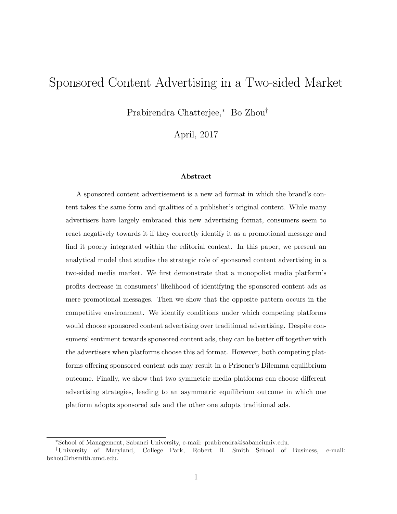# <span id="page-0-0"></span>Sponsored Content Advertising in a Two-sided Market

Prabirendra Chatterjee,<sup>∗</sup> Bo Zhou†

April, 2017

#### Abstract

A sponsored content advertisement is a new ad format in which the brand's content takes the same form and qualities of a publisher's original content. While many advertisers have largely embraced this new advertising format, consumers seem to react negatively towards it if they correctly identify it as a promotional message and find it poorly integrated within the editorial context. In this paper, we present an analytical model that studies the strategic role of sponsored content advertising in a two-sided media market. We first demonstrate that a monopolist media platform's profits decrease in consumers' likelihood of identifying the sponsored content ads as mere promotional messages. Then we show that the opposite pattern occurs in the competitive environment. We identify conditions under which competing platforms would choose sponsored content advertising over traditional advertising. Despite consumers' sentiment towards sponsored content ads, they can be better off together with the advertisers when platforms choose this ad format. However, both competing platforms offering sponsored content ads may result in a Prisoner's Dilemma equilibrium outcome. Finally, we show that two symmetric media platforms can choose different advertising strategies, leading to an asymmetric equilibrium outcome in which one platform adopts sponsored ads and the other one adopts traditional ads.

<sup>∗</sup>School of Management, Sabanci University, e-mail: prabirendra@sabanciuniv.edu.

<sup>†</sup>University of Maryland, College Park, Robert H. Smith School of Business, e-mail: bzhou@rhsmith.umd.edu.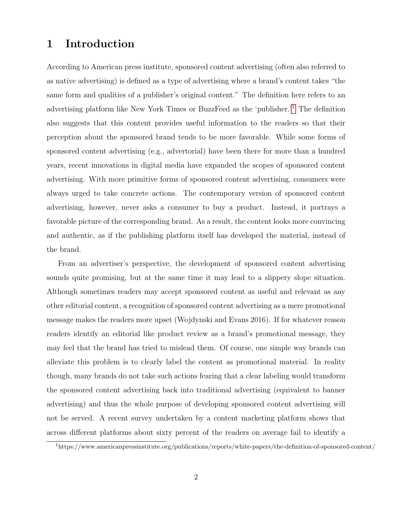# 1 Introduction

According to American press institute, sponsored content advertising (often also referred to as native advertising) is defined as a type of advertising where a brand's content takes "the same form and qualities of a publisher's original content." The definition here refers to an advertising platform like New York Times or BuzzFeed as the 'publisher.'[1](#page-1-0) The definition also suggests that this content provides useful information to the readers so that their perception about the sponsored brand tends to be more favorable. While some forms of sponsored content advertising (e.g., advertorial) have been there for more than a hundred years, recent innovations in digital media have expanded the scopes of sponsored content advertising. With more primitive forms of sponsored content advertising, consumers were always urged to take concrete actions. The contemporary version of sponsored content advertising, however, never asks a consumer to buy a product. Instead, it portrays a favorable picture of the corresponding brand. As a result, the content looks more convincing and authentic, as if the publishing platform itself has developed the material, instead of the brand.

From an advertiser's perspective, the development of sponsored content advertising sounds quite promising, but at the same time it may lead to a slippery slope situation. Although sometimes readers may accept sponsored content as useful and relevant as any other editorial content, a recognition of sponsored content advertising as a mere promotional message makes the readers more upset (Wojdynski and Evans 2016). If for whatever reason readers identify an editorial like product review as a brand's promotional message, they may feel that the brand has tried to mislead them. Of course, one simple way brands can alleviate this problem is to clearly label the content as promotional material. In reality though, many brands do not take such actions fearing that a clear labeling would transform the sponsored content advertising back into traditional advertising (equivalent to banner advertising) and thus the whole purpose of developing sponsored content advertising will not be served. A recent survey undertaken by a content marketing platform shows that across different platforms about sixty percent of the readers on average fail to identify a

<span id="page-1-0"></span><sup>1</sup>https://www.americanpressinstitute.org/publications/reports/white-papers/the-definition-of-sponsored-content/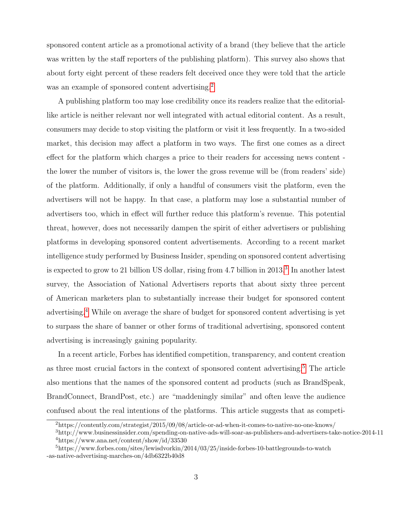sponsored content article as a promotional activity of a brand (they believe that the article was written by the staff reporters of the publishing platform). This survey also shows that about forty eight percent of these readers felt deceived once they were told that the article was an example of sponsored content advertising.<sup>[2](#page-2-0)</sup>

A publishing platform too may lose credibility once its readers realize that the editoriallike article is neither relevant nor well integrated with actual editorial content. As a result, consumers may decide to stop visiting the platform or visit it less frequently. In a two-sided market, this decision may affect a platform in two ways. The first one comes as a direct effect for the platform which charges a price to their readers for accessing news content the lower the number of visitors is, the lower the gross revenue will be (from readers' side) of the platform. Additionally, if only a handful of consumers visit the platform, even the advertisers will not be happy. In that case, a platform may lose a substantial number of advertisers too, which in effect will further reduce this platform's revenue. This potential threat, however, does not necessarily dampen the spirit of either advertisers or publishing platforms in developing sponsored content advertisements. According to a recent market intelligence study performed by Business Insider, spending on sponsored content advertising is expected to grow to 21 billion US dollar, rising from 4.7 billion in 201[3](#page-2-1).<sup>3</sup> In another latest survey, the Association of National Advertisers reports that about sixty three percent of American marketers plan to substantially increase their budget for sponsored content advertising.[4](#page-2-2) While on average the share of budget for sponsored content advertising is yet to surpass the share of banner or other forms of traditional advertising, sponsored content advertising is increasingly gaining popularity.

In a recent article, Forbes has identified competition, transparency, and content creation as three most crucial factors in the context of sponsored content advertising.[5](#page-2-3) The article also mentions that the names of the sponsored content ad products (such as BrandSpeak, BrandConnect, BrandPost, etc.) are "maddeningly similar" and often leave the audience confused about the real intentions of the platforms. This article suggests that as competi-

<span id="page-2-1"></span><span id="page-2-0"></span><sup>2</sup>https://contently.com/strategist/2015/09/08/article-or-ad-when-it-comes-to-native-no-one-knows/

<span id="page-2-2"></span><sup>3</sup>http://www.businessinsider.com/spending-on-native-ads-will-soar-as-publishers-and-advertisers-take-notice-2014-11  $4$ https://www.ana.net/content/show/id/33530

<span id="page-2-3"></span><sup>5</sup>https://www.forbes.com/sites/lewisdvorkin/2014/03/25/inside-forbes-10-battlegrounds-to-watch -as-native-advertising-marches-on/4db6322b40d8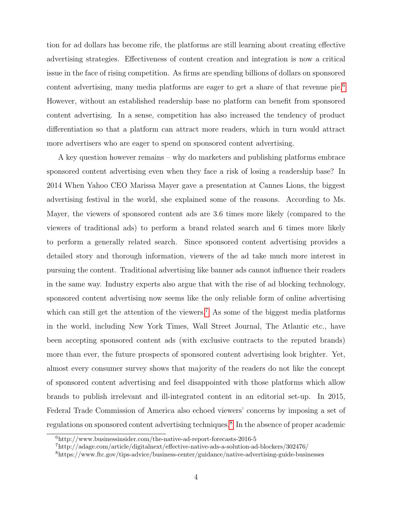tion for ad dollars has become rife, the platforms are still learning about creating effective advertising strategies. Effectiveness of content creation and integration is now a critical issue in the face of rising competition. As firms are spending billions of dollars on sponsored content advertising, many media platforms are eager to get a share of that revenue  $\pi^{6}$  $\pi^{6}$  $\pi^{6}$ . However, without an established readership base no platform can benefit from sponsored content advertising. In a sense, competition has also increased the tendency of product differentiation so that a platform can attract more readers, which in turn would attract more advertisers who are eager to spend on sponsored content advertising.

A key question however remains – why do marketers and publishing platforms embrace sponsored content advertising even when they face a risk of losing a readership base? In 2014 When Yahoo CEO Marissa Mayer gave a presentation at Cannes Lions, the biggest advertising festival in the world, she explained some of the reasons. According to Ms. Mayer, the viewers of sponsored content ads are 3.6 times more likely (compared to the viewers of traditional ads) to perform a brand related search and 6 times more likely to perform a generally related search. Since sponsored content advertising provides a detailed story and thorough information, viewers of the ad take much more interest in pursuing the content. Traditional advertising like banner ads cannot influence their readers in the same way. Industry experts also argue that with the rise of ad blocking technology, sponsored content advertising now seems like the only reliable form of online advertising which can still get the attention of the viewers.<sup>[7](#page-3-1)</sup> As some of the biggest media platforms in the world, including New York Times, Wall Street Journal, The Atlantic etc., have been accepting sponsored content ads (with exclusive contracts to the reputed brands) more than ever, the future prospects of sponsored content advertising look brighter. Yet, almost every consumer survey shows that majority of the readers do not like the concept of sponsored content advertising and feel disappointed with those platforms which allow brands to publish irrelevant and ill-integrated content in an editorial set-up. In 2015, Federal Trade Commission of America also echoed viewers' concerns by imposing a set of regulations on sponsored content advertising techniques.[8](#page-3-2) In the absence of proper academic

<span id="page-3-0"></span> $6$ http://www.businessinsider.com/the-native-ad-report-forecasts-2016-5

<span id="page-3-1"></span><sup>7</sup>http://adage.com/article/digitalnext/effective-native-ads-a-solution-ad-blockers/302476/

<span id="page-3-2"></span><sup>8</sup>https://www.ftc.gov/tips-advice/business-center/guidance/native-advertising-guide-businesses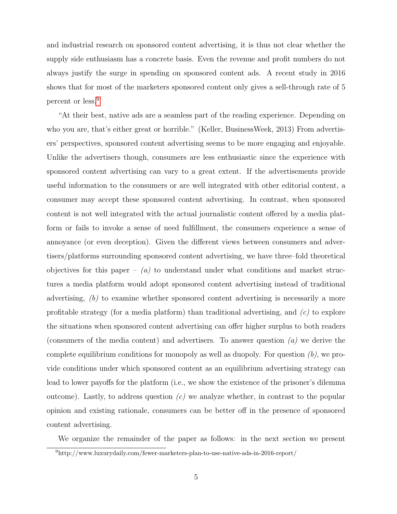and industrial research on sponsored content advertising, it is thus not clear whether the supply side enthusiasm has a concrete basis. Even the revenue and profit numbers do not always justify the surge in spending on sponsored content ads. A recent study in 2016 shows that for most of the marketers sponsored content only gives a sell-through rate of 5 percent or less.[9](#page-4-0)

"At their best, native ads are a seamless part of the reading experience. Depending on who you are, that's either great or horrible." (Keller, BusinessWeek, 2013) From advertisers' perspectives, sponsored content advertising seems to be more engaging and enjoyable. Unlike the advertisers though, consumers are less enthusiastic since the experience with sponsored content advertising can vary to a great extent. If the advertisements provide useful information to the consumers or are well integrated with other editorial content, a consumer may accept these sponsored content advertising. In contrast, when sponsored content is not well integrated with the actual journalistic content offered by a media platform or fails to invoke a sense of need fulfillment, the consumers experience a sense of annoyance (or even deception). Given the different views between consumers and advertisers/platforms surrounding sponsored content advertising, we have three–fold theoretical objectives for this paper –  $(a)$  to understand under what conditions and market structures a media platform would adopt sponsored content advertising instead of traditional advertising,  $(b)$  to examine whether sponsored content advertising is necessarily a more profitable strategy (for a media platform) than traditional advertising, and  $(c)$  to explore the situations when sponsored content advertising can offer higher surplus to both readers (consumers of the media content) and advertisers. To answer question  $(a)$  we derive the complete equilibrium conditions for monopoly as well as duopoly. For question  $(b)$ , we provide conditions under which sponsored content as an equilibrium advertising strategy can lead to lower payoffs for the platform (i.e., we show the existence of the prisoner's dilemma outcome). Lastly, to address question  $(c)$  we analyze whether, in contrast to the popular opinion and existing rationale, consumers can be better off in the presence of sponsored content advertising.

We organize the remainder of the paper as follows: in the next section we present

<span id="page-4-0"></span><sup>9</sup>http://www.luxurydaily.com/fewer-marketers-plan-to-use-native-ads-in-2016-report/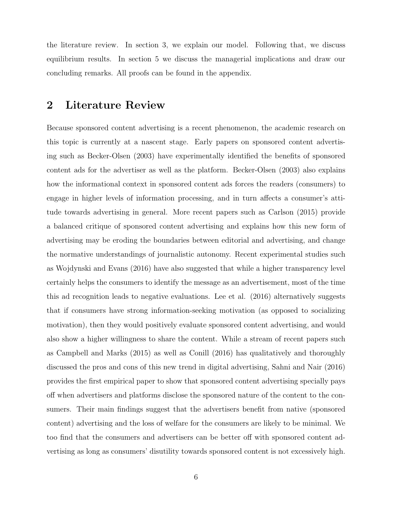the literature review. In section 3, we explain our model. Following that, we discuss equilibrium results. In section 5 we discuss the managerial implications and draw our concluding remarks. All proofs can be found in the appendix.

# 2 Literature Review

Because sponsored content advertising is a recent phenomenon, the academic research on this topic is currently at a nascent stage. Early papers on sponsored content advertising such as Becker-Olsen (2003) have experimentally identified the benefits of sponsored content ads for the advertiser as well as the platform. Becker-Olsen (2003) also explains how the informational context in sponsored content ads forces the readers (consumers) to engage in higher levels of information processing, and in turn affects a consumer's attitude towards advertising in general. More recent papers such as Carlson (2015) provide a balanced critique of sponsored content advertising and explains how this new form of advertising may be eroding the boundaries between editorial and advertising, and change the normative understandings of journalistic autonomy. Recent experimental studies such as Wojdynski and Evans (2016) have also suggested that while a higher transparency level certainly helps the consumers to identify the message as an advertisement, most of the time this ad recognition leads to negative evaluations. Lee et al. (2016) alternatively suggests that if consumers have strong information-seeking motivation (as opposed to socializing motivation), then they would positively evaluate sponsored content advertising, and would also show a higher willingness to share the content. While a stream of recent papers such as Campbell and Marks (2015) as well as Conill (2016) has qualitatively and thoroughly discussed the pros and cons of this new trend in digital advertising, Sahni and Nair (2016) provides the first empirical paper to show that sponsored content advertising specially pays off when advertisers and platforms disclose the sponsored nature of the content to the consumers. Their main findings suggest that the advertisers benefit from native (sponsored content) advertising and the loss of welfare for the consumers are likely to be minimal. We too find that the consumers and advertisers can be better off with sponsored content advertising as long as consumers' disutility towards sponsored content is not excessively high.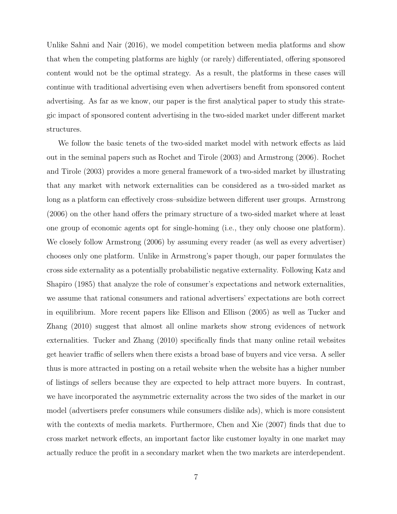Unlike Sahni and Nair (2016), we model competition between media platforms and show that when the competing platforms are highly (or rarely) differentiated, offering sponsored content would not be the optimal strategy. As a result, the platforms in these cases will continue with traditional advertising even when advertisers benefit from sponsored content advertising. As far as we know, our paper is the first analytical paper to study this strategic impact of sponsored content advertising in the two-sided market under different market structures.

We follow the basic tenets of the two-sided market model with network effects as laid out in the seminal papers such as Rochet and Tirole (2003) and Armstrong (2006). Rochet and Tirole (2003) provides a more general framework of a two-sided market by illustrating that any market with network externalities can be considered as a two-sided market as long as a platform can effectively cross–subsidize between different user groups. Armstrong (2006) on the other hand offers the primary structure of a two-sided market where at least one group of economic agents opt for single-homing (i.e., they only choose one platform). We closely follow Armstrong (2006) by assuming every reader (as well as every advertiser) chooses only one platform. Unlike in Armstrong's paper though, our paper formulates the cross side externality as a potentially probabilistic negative externality. Following Katz and Shapiro (1985) that analyze the role of consumer's expectations and network externalities, we assume that rational consumers and rational advertisers' expectations are both correct in equilibrium. More recent papers like Ellison and Ellison (2005) as well as Tucker and Zhang (2010) suggest that almost all online markets show strong evidences of network externalities. Tucker and Zhang (2010) specifically finds that many online retail websites get heavier traffic of sellers when there exists a broad base of buyers and vice versa. A seller thus is more attracted in posting on a retail website when the website has a higher number of listings of sellers because they are expected to help attract more buyers. In contrast, we have incorporated the asymmetric externality across the two sides of the market in our model (advertisers prefer consumers while consumers dislike ads), which is more consistent with the contexts of media markets. Furthermore, Chen and Xie (2007) finds that due to cross market network effects, an important factor like customer loyalty in one market may actually reduce the profit in a secondary market when the two markets are interdependent.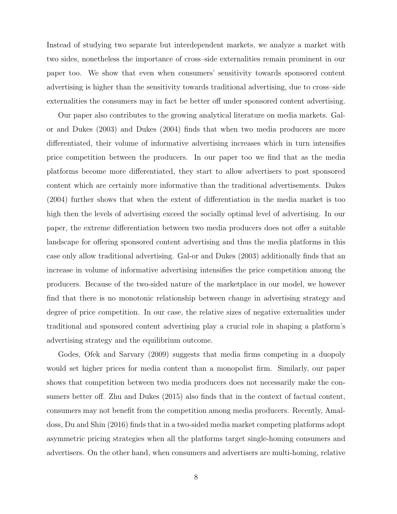Instead of studying two separate but interdependent markets, we analyze a market with two sides, nonetheless the importance of cross–side externalities remain prominent in our paper too. We show that even when consumers' sensitivity towards sponsored content advertising is higher than the sensitivity towards traditional advertising, due to cross–side externalities the consumers may in fact be better off under sponsored content advertising.

Our paper also contributes to the growing analytical literature on media markets. Galor and Dukes (2003) and Dukes (2004) finds that when two media producers are more differentiated, their volume of informative advertising increases which in turn intensifies price competition between the producers. In our paper too we find that as the media platforms become more differentiated, they start to allow advertisers to post sponsored content which are certainly more informative than the traditional advertisements. Dukes (2004) further shows that when the extent of differentiation in the media market is too high then the levels of advertising exceed the socially optimal level of advertising. In our paper, the extreme differentiation between two media producers does not offer a suitable landscape for offering sponsored content advertising and thus the media platforms in this case only allow traditional advertising. Gal-or and Dukes (2003) additionally finds that an increase in volume of informative advertising intensifies the price competition among the producers. Because of the two-sided nature of the marketplace in our model, we however find that there is no monotonic relationship between change in advertising strategy and degree of price competition. In our case, the relative sizes of negative externalities under traditional and sponsored content advertising play a crucial role in shaping a platform's advertising strategy and the equilibrium outcome.

Godes, Ofek and Sarvary (2009) suggests that media firms competing in a duopoly would set higher prices for media content than a monopolist firm. Similarly, our paper shows that competition between two media producers does not necessarily make the consumers better off. Zhu and Dukes (2015) also finds that in the context of factual content, consumers may not benefit from the competition among media producers. Recently, Amaldoss, Du and Shin (2016) finds that in a two-sided media market competing platforms adopt asymmetric pricing strategies when all the platforms target single-homing consumers and advertisers. On the other hand, when consumers and advertisers are multi-homing, relative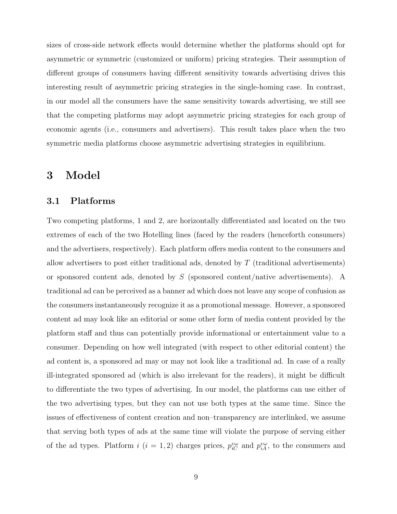sizes of cross-side network effects would determine whether the platforms should opt for asymmetric or symmetric (customized or uniform) pricing strategies. Their assumption of different groups of consumers having different sensitivity towards advertising drives this interesting result of asymmetric pricing strategies in the single-homing case. In contrast, in our model all the consumers have the same sensitivity towards advertising, we still see that the competing platforms may adopt asymmetric pricing strategies for each group of economic agents (i.e., consumers and advertisers). This result takes place when the two symmetric media platforms choose asymmetric advertising strategies in equilibrium.

## 3 Model

## 3.1 Platforms

Two competing platforms, 1 and 2, are horizontally differentiated and located on the two extremes of each of the two Hotelling lines (faced by the readers (henceforth consumers) and the advertisers, respectively). Each platform offers media content to the consumers and allow advertisers to post either traditional ads, denoted by T (traditional advertisements) or sponsored content ads, denoted by S (sponsored content/native advertisements). A traditional ad can be perceived as a banner ad which does not leave any scope of confusion as the consumers instantaneously recognize it as a promotional message. However, a sponsored content ad may look like an editorial or some other form of media content provided by the platform staff and thus can potentially provide informational or entertainment value to a consumer. Depending on how well integrated (with respect to other editorial content) the ad content is, a sponsored ad may or may not look like a traditional ad. In case of a really ill-integrated sponsored ad (which is also irrelevant for the readers), it might be difficult to differentiate the two types of advertising. In our model, the platforms can use either of the two advertising types, but they can not use both types at the same time. Since the issues of effectiveness of content creation and non–transparency are interlinked, we assume that serving both types of ads at the same time will violate the purpose of serving either of the ad types. Platform  $i$   $(i = 1, 2)$  charges prices,  $p_{iC}^{vw}$  and  $p_{iA}^{vw}$ , to the consumers and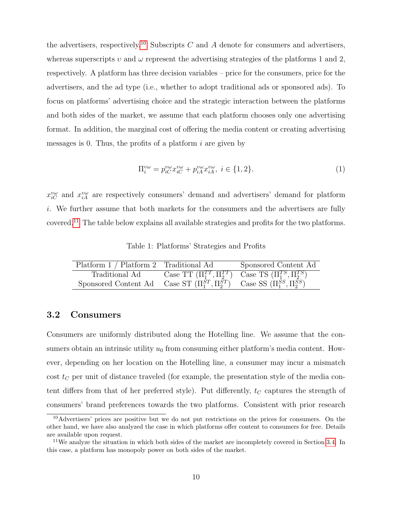the advertisers, respectively.<sup>[10](#page-9-0)</sup> Subscripts C and A denote for consumers and advertisers, whereas superscripts v and  $\omega$  represent the advertising strategies of the platforms 1 and 2, respectively. A platform has three decision variables – price for the consumers, price for the advertisers, and the ad type (i.e., whether to adopt traditional ads or sponsored ads). To focus on platforms' advertising choice and the strategic interaction between the platforms and both sides of the market, we assume that each platform chooses only one advertising format. In addition, the marginal cost of offering the media content or creating advertising messages is 0. Thus, the profits of a platform  $i$  are given by

$$
\Pi_i^{\nu\omega} = p_{iC}^{\nu\omega} x_{iC}^{\nu\omega} + p_{iA}^{\nu\omega} x_{iA}^{\nu\omega}, \ i \in \{1, 2\}.
$$
 (1)

 $x_{iC}^{vw}$  and  $x_{iA}^{vw}$  are respectively consumers' demand and advertisers' demand for platform i. We further assume that both markets for the consumers and the advertisers are fully covered.[11](#page-9-1) The table below explains all available strategies and profits for the two platforms.

Table 1: Platforms' Strategies and Profits

| Platform 1 / Platform 2 Traditional Ad                                                     |                                                                       | Sponsored Content Ad |
|--------------------------------------------------------------------------------------------|-----------------------------------------------------------------------|----------------------|
| Traditional Ad                                                                             | Case TT $(\Pi_1^{TT}, \Pi_2^{TT})$ Case TS $(\Pi_1^{TS}, \Pi_2^{TS})$ |                      |
| Sponsored Content Ad Case ST $(\Pi_1^{ST}, \Pi_2^{ST})$ Case SS $(\Pi_1^{SS}, \Pi_2^{SS})$ |                                                                       |                      |

## 3.2 Consumers

Consumers are uniformly distributed along the Hotelling line. We assume that the consumers obtain an intrinsic utility  $u_0$  from consuming either platform's media content. However, depending on her location on the Hotelling line, a consumer may incur a mismatch cost  $t_C$  per unit of distance traveled (for example, the presentation style of the media content differs from that of her preferred style). Put differently,  $t_C$  captures the strength of consumers' brand preferences towards the two platforms. Consistent with prior research

<span id="page-9-0"></span><sup>&</sup>lt;sup>10</sup>Advertisers' prices are positive but we do not put restrictions on the prices for consumers. On the other hand, we have also analyzed the case in which platforms offer content to consumers for free. Details are available upon request.

<span id="page-9-1"></span><sup>11</sup>We analyze the situation in which both sides of the market are incompletely covered in Section [3.4.](#page-13-0) In this case, a platform has monopoly power on both sides of the market.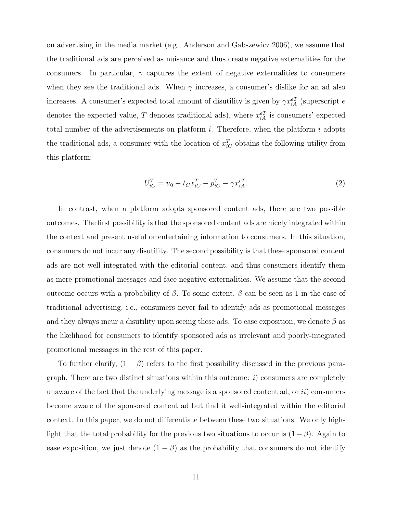on advertising in the media market (e.g., Anderson and Gabszewicz 2006), we assume that the traditional ads are perceived as nuisance and thus create negative externalities for the consumers. In particular,  $\gamma$  captures the extent of negative externalities to consumers when they see the traditional ads. When  $\gamma$  increases, a consumer's dislike for an ad also increases. A consumer's expected total amount of disutility is given by  $\gamma x_{iA}^{eT}$  (superscript e denotes the expected value, T denotes traditional ads), where  $x_{iA}^{eT}$  is consumers' expected total number of the advertisements on platform  $i$ . Therefore, when the platform  $i$  adopts the traditional ads, a consumer with the location of  $x_{iC}^T$  obtains the following utility from this platform:

$$
U_{iC}^T = u_0 - t_C x_{iC}^T - p_{iC}^T - \gamma x_{iA}^{eT}.
$$
 (2)

In contrast, when a platform adopts sponsored content ads, there are two possible outcomes. The first possibility is that the sponsored content ads are nicely integrated within the context and present useful or entertaining information to consumers. In this situation, consumers do not incur any disutility. The second possibility is that these sponsored content ads are not well integrated with the editorial content, and thus consumers identify them as mere promotional messages and face negative externalities. We assume that the second outcome occurs with a probability of β. To some extent, β can be seen as 1 in the case of traditional advertising, i.e., consumers never fail to identify ads as promotional messages and they always incur a disutility upon seeing these ads. To ease exposition, we denote  $\beta$  as the likelihood for consumers to identify sponsored ads as irrelevant and poorly-integrated promotional messages in the rest of this paper.

To further clarify,  $(1 - \beta)$  refers to the first possibility discussed in the previous paragraph. There are two distinct situations within this outcome:  $i$ ) consumers are completely unaware of the fact that the underlying message is a sponsored content ad, or  $ii$ ) consumers become aware of the sponsored content ad but find it well-integrated within the editorial context. In this paper, we do not differentiate between these two situations. We only highlight that the total probability for the previous two situations to occur is  $(1 - \beta)$ . Again to ease exposition, we just denote  $(1 - \beta)$  as the probability that consumers do not identify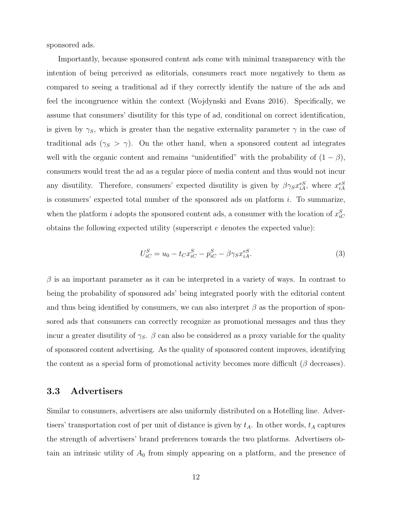sponsored ads.

Importantly, because sponsored content ads come with minimal transparency with the intention of being perceived as editorials, consumers react more negatively to them as compared to seeing a traditional ad if they correctly identify the nature of the ads and feel the incongruence within the context (Wojdynski and Evans 2016). Specifically, we assume that consumers' disutility for this type of ad, conditional on correct identification, is given by  $\gamma_S$ , which is greater than the negative externality parameter  $\gamma$  in the case of traditional ads ( $\gamma_s > \gamma$ ). On the other hand, when a sponsored content ad integrates well with the organic content and remains "unidentified" with the probability of  $(1 - \beta)$ , consumers would treat the ad as a regular piece of media content and thus would not incur any disutility. Therefore, consumers' expected disutility is given by  $\beta\gamma_S x_{iA}^{eS}$ , where  $x_{iA}^{eS}$ is consumers' expected total number of the sponsored ads on platform  $i$ . To summarize, when the platform *i* adopts the sponsored content ads, a consumer with the location of  $x_{iC}^S$ obtains the following expected utility (superscript e denotes the expected value):

$$
U_{iC}^{S} = u_0 - t_C x_{iC}^{S} - p_{iC}^{S} - \beta \gamma_S x_{iA}^{eS}.
$$
\n(3)

 $\beta$  is an important parameter as it can be interpreted in a variety of ways. In contrast to being the probability of sponsored ads' being integrated poorly with the editorial content and thus being identified by consumers, we can also interpret  $\beta$  as the proportion of sponsored ads that consumers can correctly recognize as promotional messages and thus they incur a greater disutility of  $\gamma_s$ .  $\beta$  can also be considered as a proxy variable for the quality of sponsored content advertising. As the quality of sponsored content improves, identifying the content as a special form of promotional activity becomes more difficult  $(\beta$  decreases).

### 3.3 Advertisers

Similar to consumers, advertisers are also uniformly distributed on a Hotelling line. Advertisers' transportation cost of per unit of distance is given by  $t_A$ . In other words,  $t_A$  captures the strength of advertisers' brand preferences towards the two platforms. Advertisers obtain an intrinsic utility of  $A_0$  from simply appearing on a platform, and the presence of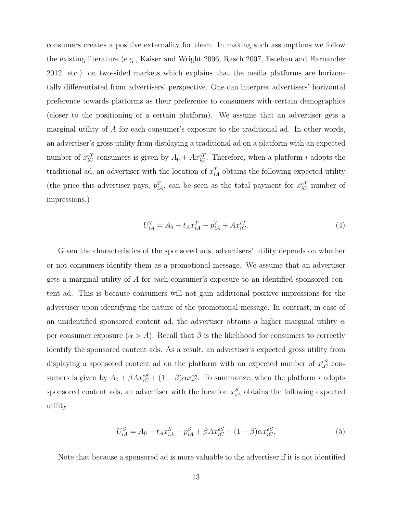consumers creates a positive externality for them. In making such assumptions we follow the existing literature (e.g., Kaiser and Wright 2006, Rasch 2007, Esteban and Harnandez 2012, etc.) on two-sided markets which explains that the media platforms are horizontally differentiated from advertisers' perspective. One can interpret advertisers' horizontal preference towards platforms as their preference to consumers with certain demographics (closer to the positioning of a certain platform). We assume that an advertiser gets a marginal utility of A for each consumer's exposure to the traditional ad. In other words, an advertiser's gross utility from displaying a traditional ad on a platform with an expected number of  $x_{iC}^{eT}$  consumers is given by  $A_0 + Ax_{iC}^{eT}$ . Therefore, when a platform i adopts the traditional ad, an advertiser with the location of  $x_{iA}^T$  obtains the following expected utility (the price this advertiser pays,  $p_{iA}^T$ , can be seen as the total payment for  $x_{iC}^{eT}$  number of impressions.)

$$
U_{iA}^T = A_0 - t_A x_{iA}^T - p_{iA}^T + A x_{iC}^{eT}.
$$
\n(4)

Given the characteristics of the sponsored ads, advertisers' utility depends on whether or not consumers identify them as a promotional message. We assume that an advertiser gets a marginal utility of A for each consumer's exposure to an identified sponsored content ad. This is because consumers will not gain additional positive impressions for the advertiser upon identifying the nature of the promotional message. In contrast, in case of an unidentified sponsored content ad, the advertiser obtains a higher marginal utility  $\alpha$ per consumer exposure  $(\alpha > A)$ . Recall that  $\beta$  is the likelihood for consumers to correctly identify the sponsored content ads. As a result, an advertiser's expected gross utility from displaying a sponsored content ad on the platform with an expected number of  $x_{iC}^{eS}$  consumers is given by  $A_0 + \beta A x_{iC}^{eS} + (1 - \beta) \alpha x_{iC}^{eS}$ . To summarize, when the platform *i* adopts sponsored content ads, an advertiser with the location  $x_{iA}^S$  obtains the following expected utility

$$
U_{iA}^{S} = A_0 - t_A x_{iA}^{S} - p_{iA}^{S} + \beta A x_{iC}^{eS} + (1 - \beta) \alpha x_{iC}^{eS}.
$$
 (5)

Note that because a sponsored ad is more valuable to the advertiser if it is not identified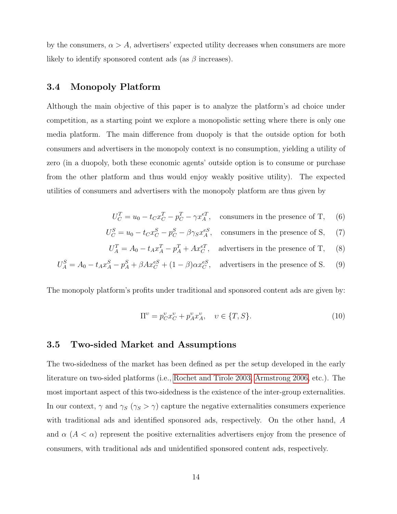by the consumers,  $\alpha > A$ , advertisers' expected utility decreases when consumers are more likely to identify sponsored content ads (as  $\beta$  increases).

## <span id="page-13-0"></span>3.4 Monopoly Platform

Although the main objective of this paper is to analyze the platform's ad choice under competition, as a starting point we explore a monopolistic setting where there is only one media platform. The main difference from duopoly is that the outside option for both consumers and advertisers in the monopoly context is no consumption, yielding a utility of zero (in a duopoly, both these economic agents' outside option is to consume or purchase from the other platform and thus would enjoy weakly positive utility). The expected utilities of consumers and advertisers with the monopoly platform are thus given by

- $U_C^T = u_0 t_C x_C^T p_C^T \gamma x_A^{eT}$ , consumers in the presence of T, (6)
- $U_C^S = u_0 t_C x_C^S p_C^S \beta \gamma_S x_A^{eS}$ , consumers in the presence of S, (7)
- $U_A^T = A_0 t_A x_A^T p_A^T + A x_C^{eT}$ , advertisers in the presence of T, (8)

$$
U_A^S = A_0 - t_A x_A^S - p_A^S + \beta A x_C^{eS} + (1 - \beta) \alpha x_C^{eS}, \quad \text{advertisers in the presence of S.} \tag{9}
$$

The monopoly platform's profits under traditional and sponsored content ads are given by:

$$
\Pi^{\nu} = p_C^{\nu} x_C^{\nu} + p_A^{\nu} x_A^{\nu}, \quad \nu \in \{T, S\}.
$$
\n(10)

### 3.5 Two-sided Market and Assumptions

The two-sidedness of the market has been defined as per the setup developed in the early literature on two-sided platforms (i.e., [Rochet and Tirole 2003, Armstrong 2006,](#page-0-0) etc.). The most important aspect of this two-sidedness is the existence of the inter-group externalities. In our context,  $\gamma$  and  $\gamma_S$  ( $\gamma_S > \gamma$ ) capture the negative externalities consumers experience with traditional ads and identified sponsored ads, respectively. On the other hand, A and  $\alpha$  ( $A < \alpha$ ) represent the positive externalities advertisers enjoy from the presence of consumers, with traditional ads and unidentified sponsored content ads, respectively.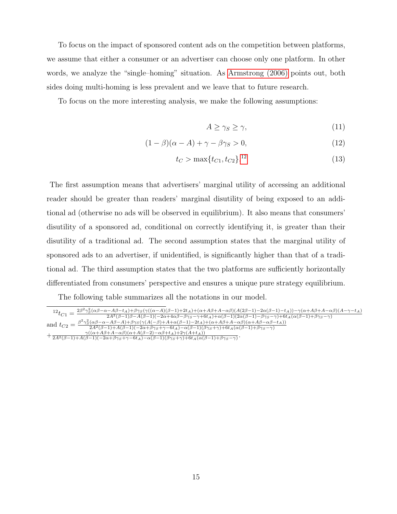To focus on the impact of sponsored content ads on the competition between platforms, we assume that either a consumer or an advertiser can choose only one platform. In other words, we analyze the "single–homing" situation. As [Armstrong \(2006\)](#page-0-0) points out, both sides doing multi-homing is less prevalent and we leave that to future research.

To focus on the more interesting analysis, we make the following assumptions:

<span id="page-14-1"></span>
$$
A \ge \gamma_S \ge \gamma,\tag{11}
$$

$$
(1 - \beta)(\alpha - A) + \gamma - \beta \gamma_S > 0,
$$
\n(12)

$$
t_C > \max\{t_{C1}, t_{C2}\}.^{12} \tag{13}
$$

The first assumption means that advertisers' marginal utility of accessing an additional reader should be greater than readers' marginal disutility of being exposed to an additional ad (otherwise no ads will be observed in equilibrium). It also means that consumers' disutility of a sponsored ad, conditional on correctly identifying it, is greater than their disutility of a traditional ad. The second assumption states that the marginal utility of sponsored ads to an advertiser, if unidentified, is significantly higher than that of a traditional ad. The third assumption states that the two platforms are sufficiently horizontally differentiated from consumers' perspective and ensures a unique pure strategy equilibrium.

The following table summarizes all the notations in our model.

<span id="page-14-0"></span> $12t_{C1} = \frac{2\beta^2\gamma_S^2(\alpha\beta-\alpha-A\beta-t_A)+\beta\gamma_S(\gamma((\alpha-A)(\beta-1)+2t_A)+(\alpha+A\beta+A-\alpha\beta)(A(2\beta-1)-2\alpha(\beta-1)-t_A))-\gamma(\alpha+A\beta+A-\alpha\beta)(A-\gamma-t_A)}{2A^2(\beta-1)\beta-A(\beta-1)(-2\alpha+A\alpha\beta-\beta\gamma_S-\gamma+6t_A)+\alpha(\beta-1)(2\alpha(\beta-1)-\beta\gamma_S-\gamma)+6t_A(\alpha(\beta-1)+\beta\gamma_S-\gamma)}$ and  $t_{C2} = \frac{\beta^2 \gamma_S^2 (\alpha \beta - \alpha - A \beta - A) + \beta \gamma_S (\gamma (A(-\beta) + A + \alpha (\beta - 1) - 2t_A) + (\alpha + A \beta + A - \alpha \beta)(\alpha + A \beta - \alpha \beta - t_A))}{2A^2(\beta - 1) + A(\beta - 1)(-2\alpha + \beta \gamma_S + \gamma - 6t_A) - \alpha(\beta - 1)(\beta \gamma_S + \gamma) + 6t_A(\alpha(\beta - 1) + \beta \gamma_S - \gamma)}$  $+\frac{\gamma((\alpha+A\beta+A-\alpha\beta)(\alpha+A(\beta-2)-\alpha\beta+t_A)+2\gamma(A+t_A))}{2A^2(\beta-1)+A(\beta-1)(-2\alpha+\beta\gamma_S+\gamma-6t_A)-\alpha(\beta-1)(\beta\gamma_S+\gamma)+6t_A(\alpha(\beta-1)+\beta\gamma_S-\gamma)}$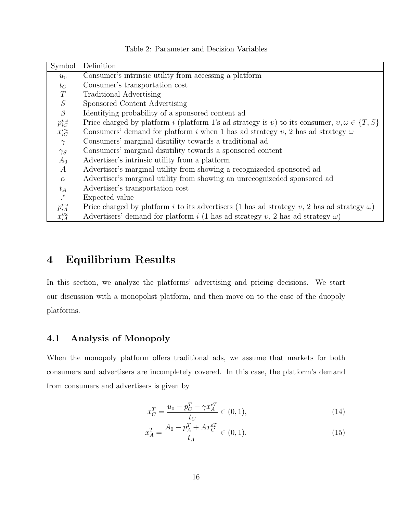| Symbol             | Definition                                                                                               |
|--------------------|----------------------------------------------------------------------------------------------------------|
| $u_0$              | Consumer's intrinsic utility from accessing a platform                                                   |
| $t_C$              | Consumer's transportation cost                                                                           |
| T                  | Traditional Advertising                                                                                  |
| $\cal S$           | Sponsored Content Advertising                                                                            |
| $\beta$            | Identifying probability of a sponsored content ad                                                        |
| $p_{iC}^{v\omega}$ | Price charged by platform i (platform 1's ad strategy is v) to its consumer, $v, \omega \in \{T, S\}$    |
| $x_{iC}^{v\omega}$ | Consumers' demand for platform i when 1 has ad strategy v, 2 has ad strategy $\omega$                    |
| $\gamma$           | Consumers' marginal disutility towards a traditional ad                                                  |
| $\gamma_S$         | Consumers' marginal disutility towards a sponsored content                                               |
| $A_0$              | Advertiser's intrinsic utility from a platform                                                           |
| $\boldsymbol{A}$   | Advertiser's marginal utility from showing a recognizeded sponsored ad                                   |
| $\alpha$           | Advertiser's marginal utility from showing an unrecognizeded sponsored ad                                |
| $t_A$              | Advertiser's transportation cost                                                                         |
| $\cdot^e$          | Expected value                                                                                           |
| $p_{iA}^{v\omega}$ | Price charged by platform <i>i</i> to its advertisers (1 has ad strategy v, 2 has ad strategy $\omega$ ) |
| $x_{iA}^{v\omega}$ | Advertisers' demand for platform i (1 has ad strategy v, 2 has ad strategy $\omega$ )                    |

Table 2: Parameter and Decision Variables

# 4 Equilibrium Results

In this section, we analyze the platforms' advertising and pricing decisions. We start our discussion with a monopolist platform, and then move on to the case of the duopoly platforms.

## <span id="page-15-0"></span>4.1 Analysis of Monopoly

When the monopoly platform offers traditional ads, we assume that markets for both consumers and advertisers are incompletely covered. In this case, the platform's demand from consumers and advertisers is given by

<span id="page-15-1"></span>
$$
x_C^T = \frac{u_0 - p_C^T - \gamma x_A^{eT}}{t_C} \in (0, 1),\tag{14}
$$

$$
x_A^T = \frac{A_0 - p_A^T + Ax_C^{eT}}{t_A} \in (0, 1). \tag{15}
$$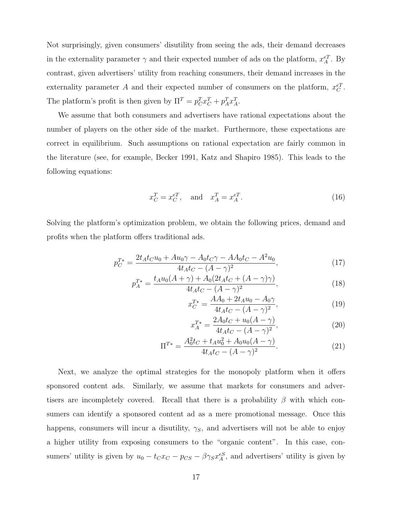Not surprisingly, given consumers' disutility from seeing the ads, their demand decreases in the externality parameter  $\gamma$  and their expected number of ads on the platform,  $x_A^{eT}$ . By contrast, given advertisers' utility from reaching consumers, their demand increases in the externality parameter A and their expected number of consumers on the platform,  $x_C^{eT}$ . The platform's profit is then given by  $\Pi^T = p_C^T x_C^T + p_A^T x_A^T$ .

We assume that both consumers and advertisers have rational expectations about the number of players on the other side of the market. Furthermore, these expectations are correct in equilibrium. Such assumptions on rational expectation are fairly common in the literature (see, for example, Becker 1991, Katz and Shapiro 1985). This leads to the following equations:

$$
x_C^T = x_C^{eT}, \quad \text{and} \quad x_A^T = x_A^{eT}.
$$
 (16)

Solving the platform's optimization problem, we obtain the following prices, demand and profits when the platform offers traditional ads.

$$
p_C^{T*} = \frac{2t_A t_C u_0 + A u_0 \gamma - A_0 t_C \gamma - A A_0 t_C - A^2 u_0}{4t_A t_C - (A - \gamma)^2},\tag{17}
$$

$$
p_A^{T*} = \frac{t_A u_0 (A + \gamma) + A_0 (2t_A t_C + (A - \gamma)\gamma)}{4t_A t_C - (A - \gamma)^2},\tag{18}
$$

$$
x_C^{T*} = \frac{AA_0 + 2t_A u_0 - A_0 \gamma}{4t_A t_C - (A - \gamma)^2},\tag{19}
$$

$$
x_A^{T*} = \frac{2A_0t_C + u_0(A - \gamma)}{4t_At_C - (A - \gamma)^2},\tag{20}
$$

$$
\Pi^{T*} = \frac{A_0^2 t_C + t_A u_0^2 + A_0 u_0 (A - \gamma)}{4t_A t_C - (A - \gamma)^2}.
$$
\n(21)

Next, we analyze the optimal strategies for the monopoly platform when it offers sponsored content ads. Similarly, we assume that markets for consumers and advertisers are incompletely covered. Recall that there is a probability  $\beta$  with which consumers can identify a sponsored content ad as a mere promotional message. Once this happens, consumers will incur a disutility,  $\gamma_s$ , and advertisers will not be able to enjoy a higher utility from exposing consumers to the "organic content". In this case, consumers' utility is given by  $u_0 - t_C x_C - p_{CS} - \beta \gamma_S x_A^{eS}$ , and advertisers' utility is given by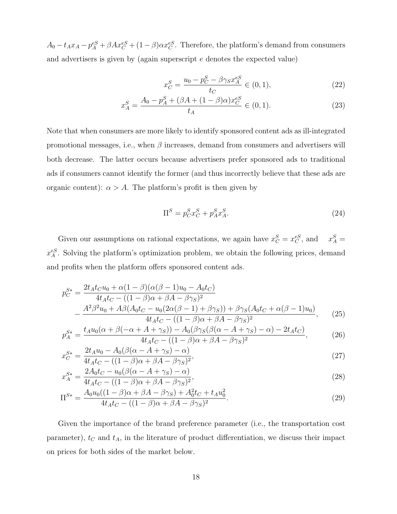$A_0 - t_A x_A - p_A^{eS} + \beta A x_C^{eS} + (1 - \beta) \alpha x_C^{eS}$ . Therefore, the platform's demand from consumers and advertisers is given by (again superscript e denotes the expected value)

<span id="page-17-2"></span><span id="page-17-1"></span>
$$
x_C^S = \frac{u_0 - p_C^S - \beta \gamma_S x_A^{eS}}{t_C} \in (0, 1),\tag{22}
$$

$$
x_A^S = \frac{A_0 - p_A^S + (\beta A + (1 - \beta)\alpha)x_C^{eS}}{t_A} \in (0, 1).
$$
 (23)

Note that when consumers are more likely to identify sponsored content ads as ill-integrated promotional messages, i.e., when  $\beta$  increases, demand from consumers and advertisers will both decrease. The latter occurs because advertisers prefer sponsored ads to traditional ads if consumers cannot identify the former (and thus incorrectly believe that these ads are organic content):  $\alpha > A$ . The platform's profit is then given by

$$
\Pi^S = p_C^S x_C^S + p_A^S x_A^S. \tag{24}
$$

Given our assumptions on rational expectations, we again have  $x_C^S = x_C^{eS}$ , and  $x_A^S =$  $x_A^{eS}$ . Solving the platform's optimization problem, we obtain the following prices, demand and profits when the platform offers sponsored content ads.

$$
p_C^{S*} = \frac{2t_A t_C u_0 + \alpha (1 - \beta)(\alpha(\beta - 1)u_0 - A_0 t_C)}{4t_A t_C - ((1 - \beta)\alpha + \beta A - \beta \gamma_S)^2} - \frac{A^2 \beta^2 u_0 + A\beta (A_0 t_C - u_0 (2\alpha(\beta - 1) + \beta \gamma_S)) + \beta \gamma_S (A_0 t_C + \alpha(\beta - 1)u_0)}{4t_A t_C - ((1 - \beta)\alpha + \beta A - \beta \gamma_S)^2},
$$
(25)

$$
p_A^{S*} = \frac{t_A u_0 (\alpha + \beta(-\alpha + A + \gamma_S)) - A_0 (\beta \gamma_S (\beta(\alpha - A + \gamma_S) - \alpha) - 2t_A t_C)}{4t_A t_C - ((1 - \beta)\alpha + \beta A - \beta \gamma_S)^2},
$$
(26)

$$
x_C^{S*} = \frac{2t_A u_0 - A_0(\beta(\alpha - A + \gamma_S) - \alpha)}{4t_A t_C - ((1 - \beta)\alpha + \beta A - \beta \gamma_S)^2},\tag{27}
$$

$$
x_A^{S*} = \frac{2A_0t_C - u_0(\beta(\alpha - A + \gamma_S) - \alpha)}{4t_A t_C - ((1 - \beta)\alpha + \beta A - \beta \gamma_S)^2},
$$
\n(28)

$$
\Pi^{S*} = \frac{A_0 u_0 ((1 - \beta)\alpha + \beta A - \beta \gamma_S) + A_0^2 t_C + t_A u_0^2}{4t_A t_C - ((1 - \beta)\alpha + \beta A - \beta \gamma_S)^2}.
$$
\n(29)

<span id="page-17-0"></span>Given the importance of the brand preference parameter (i.e., the transportation cost parameter),  $t_C$  and  $t_A$ , in the literature of product differentiation, we discuss their impact on prices for both sides of the market below.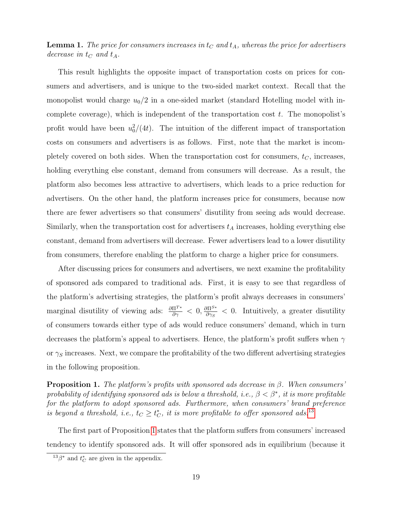**Lemma 1.** The price for consumers increases in  $t<sub>C</sub>$  and  $t<sub>A</sub>$ , whereas the price for advertisers decrease in  $t_C$  and  $t_A$ .

This result highlights the opposite impact of transportation costs on prices for consumers and advertisers, and is unique to the two-sided market context. Recall that the monopolist would charge  $u_0/2$  in a one-sided market (standard Hotelling model with incomplete coverage), which is independent of the transportation cost  $t$ . The monopolist's profit would have been  $u_0^2/(4t)$ . The intuition of the different impact of transportation costs on consumers and advertisers is as follows. First, note that the market is incompletely covered on both sides. When the transportation cost for consumers,  $t<sub>C</sub>$ , increases, holding everything else constant, demand from consumers will decrease. As a result, the platform also becomes less attractive to advertisers, which leads to a price reduction for advertisers. On the other hand, the platform increases price for consumers, because now there are fewer advertisers so that consumers' disutility from seeing ads would decrease. Similarly, when the transportation cost for advertisers  $t_A$  increases, holding everything else constant, demand from advertisers will decrease. Fewer advertisers lead to a lower disutility from consumers, therefore enabling the platform to charge a higher price for consumers.

After discussing prices for consumers and advertisers, we next examine the profitability of sponsored ads compared to traditional ads. First, it is easy to see that regardless of the platform's advertising strategies, the platform's profit always decreases in consumers' marginal disutility of viewing ads:  $\frac{\partial \Pi^{T*}}{\partial \gamma} < 0$ ,  $\frac{\partial \Pi^{S*}}{\partial \gamma_S}$  $\frac{\partial\Pi^{S*}}{\partial\gamma_S}$  < 0. Intuitively, a greater disutility of consumers towards either type of ads would reduce consumers' demand, which in turn decreases the platform's appeal to advertisers. Hence, the platform's profit suffers when  $\gamma$ or  $\gamma_S$  increases. Next, we compare the profitability of the two different advertising strategies in the following proposition.

<span id="page-18-1"></span>**Proposition 1.** The platform's profits with sponsored ads decrease in  $\beta$ . When consumers' probability of identifying sponsored ads is below a threshold, i.e.,  $\beta < \beta^*$ , it is more profitable for the platform to adopt sponsored ads. Furthermore, when consumers' brand preference is beyond a threshold, i.e.,  $t_C \geq t_C^*$ , it is more profitable to offer sponsored ads.<sup>[13](#page-18-0)</sup>

The first part of Proposition [1](#page-18-1) states that the platform suffers from consumers' increased tendency to identify sponsored ads. It will offer sponsored ads in equilibrium (because it

<span id="page-18-0"></span> $^{13}\beta^*$  and  $t_C^*$  are given in the appendix.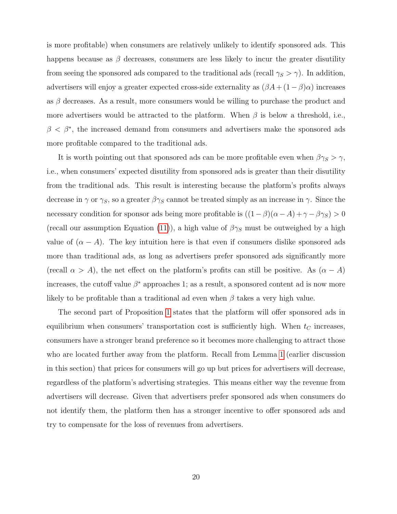is more profitable) when consumers are relatively unlikely to identify sponsored ads. This happens because as  $\beta$  decreases, consumers are less likely to incur the greater disutility from seeing the sponsored ads compared to the traditional ads (recall  $\gamma_S > \gamma$ ). In addition, advertisers will enjoy a greater expected cross-side externality as  $(\beta A + (1 - \beta)\alpha)$  increases as  $\beta$  decreases. As a result, more consumers would be willing to purchase the product and more advertisers would be attracted to the platform. When  $\beta$  is below a threshold, i.e.,  $\beta < \beta^*$ , the increased demand from consumers and advertisers make the sponsored ads more profitable compared to the traditional ads.

It is worth pointing out that sponsored ads can be more profitable even when  $\beta \gamma_S > \gamma$ , i.e., when consumers' expected disutility from sponsored ads is greater than their disutility from the traditional ads. This result is interesting because the platform's profits always decrease in  $\gamma$  or  $\gamma_s$ , so a greater  $\beta \gamma_s$  cannot be treated simply as an increase in  $\gamma$ . Since the necessary condition for sponsor ads being more profitable is  $((1 - \beta)(\alpha - A) + \gamma - \beta \gamma_S) > 0$ (recall our assumption Equation [\(11\)](#page-14-1)), a high value of  $\beta\gamma_S$  must be outweighed by a high value of  $(\alpha - A)$ . The key intuition here is that even if consumers dislike sponsored ads more than traditional ads, as long as advertisers prefer sponsored ads significantly more (recall  $\alpha > A$ ), the net effect on the platform's profits can still be positive. As  $(\alpha - A)$ increases, the cutoff value  $\beta^*$  approaches 1; as a result, a sponsored content ad is now more likely to be profitable than a traditional ad even when  $\beta$  takes a very high value.

The second part of Proposition [1](#page-18-1) states that the platform will offer sponsored ads in equilibrium when consumers' transportation cost is sufficiently high. When  $t_C$  increases, consumers have a stronger brand preference so it becomes more challenging to attract those who are located further away from the platform. Recall from Lemma [1](#page-17-0) (earlier discussion in this section) that prices for consumers will go up but prices for advertisers will decrease, regardless of the platform's advertising strategies. This means either way the revenue from advertisers will decrease. Given that advertisers prefer sponsored ads when consumers do not identify them, the platform then has a stronger incentive to offer sponsored ads and try to compensate for the loss of revenues from advertisers.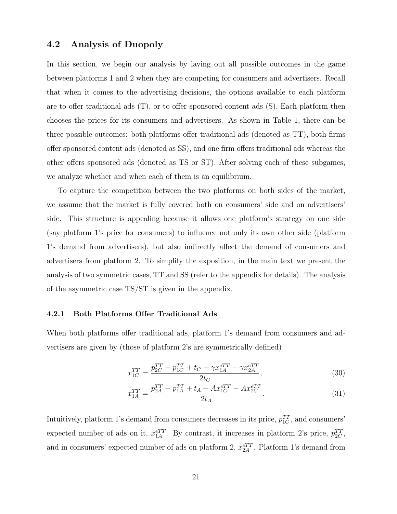## 4.2 Analysis of Duopoly

In this section, we begin our analysis by laying out all possible outcomes in the game between platforms 1 and 2 when they are competing for consumers and advertisers. Recall that when it comes to the advertising decisions, the options available to each platform are to offer traditional ads (T), or to offer sponsored content ads (S). Each platform then chooses the prices for its consumers and advertisers. As shown in Table 1, there can be three possible outcomes: both platforms offer traditional ads (denoted as TT), both firms offer sponsored content ads (denoted as SS), and one firm offers traditional ads whereas the other offers sponsored ads (denoted as TS or ST). After solving each of these subgames, we analyze whether and when each of them is an equilibrium.

To capture the competition between the two platforms on both sides of the market, we assume that the market is fully covered both on consumers' side and on advertisers' side. This structure is appealing because it allows one platform's strategy on one side (say platform 1's price for consumers) to influence not only its own other side (platform 1's demand from advertisers), but also indirectly affect the demand of consumers and advertisers from platform 2. To simplify the exposition, in the main text we present the analysis of two symmetric cases, TT and SS (refer to the appendix for details). The analysis of the asymmetric case TS/ST is given in the appendix.

#### <span id="page-20-1"></span>4.2.1 Both Platforms Offer Traditional Ads

When both platforms offer traditional ads, platform 1's demand from consumers and advertisers are given by (those of platform 2's are symmetrically defined)

<span id="page-20-0"></span>
$$
x_{1C}^{TT} = \frac{p_{2C}^{TT} - p_{1C}^{TT} + t_C - \gamma x_{1A}^{eTT} + \gamma x_{2A}^{eTT}}{2t_C},
$$
\n(30)

$$
x_{1A}^{TT} = \frac{p_{2A}^{TT} - p_{1A}^{TT} + t_A + Ax_{1C}^{eTT} - Ax_{2C}^{eTT}}{2t_A}.
$$
\n(31)

Intuitively, platform 1's demand from consumers decreases in its price,  $p_{1C}^{TT}$ , and consumers' expected number of ads on it,  $x_{1A}^{eTT}$ . By contrast, it increases in platform 2's price,  $p_{2C}^{TT}$ , and in consumers' expected number of ads on platform 2,  $x_{2A}^{eTT}$ . Platform 1's demand from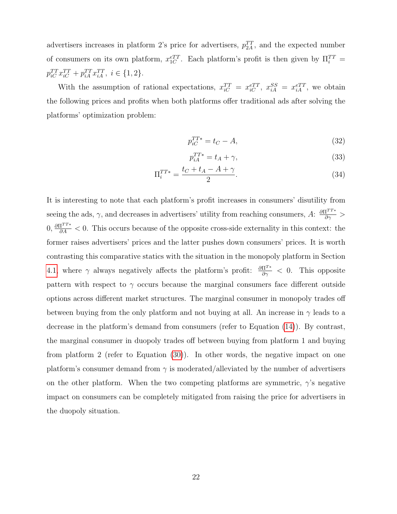advertisers increases in platform 2's price for advertisers,  $p_{2A}^{TT}$ , and the expected number of consumers on its own platform,  $x_{1C}^{eTT}$ . Each platform's profit is then given by  $\Pi_i^{TT}$  =  $p_{iC}^{TT} x_{iC}^{TT} + p_{iA}^{TT} x_{iA}^{TT}, i \in \{1, 2\}.$ 

With the assumption of rational expectations,  $x_{iC}^{TT} = x_{iC}^{eTT}$ ,  $x_{iA}^{SS} = x_{iA}^{eTT}$ , we obtain the following prices and profits when both platforms offer traditional ads after solving the platforms' optimization problem:

$$
p_{iC}^{TT*} = t_C - A,\tag{32}
$$

$$
p_{iA}^{TT*} = t_A + \gamma,\tag{33}
$$

$$
\Pi_i^{TT*} = \frac{t_C + t_A - A + \gamma}{2}.
$$
\n(34)

It is interesting to note that each platform's profit increases in consumers' disutility from seeing the ads,  $\gamma$ , and decreases in advertisers' utility from reaching consumers,  $A: \frac{\partial \Pi^{TT*}}{\partial \gamma} >$  $0, \frac{\partial \Pi^{TT^*}}{\partial A} < 0$ . This occurs because of the opposite cross-side externality in this context: the former raises advertisers' prices and the latter pushes down consumers' prices. It is worth contrasting this comparative statics with the situation in the monopoly platform in Section [4.1,](#page-15-0) where  $\gamma$  always negatively affects the platform's profit:  $\frac{\partial \Pi^{T*}}{\partial \gamma} < 0$ . This opposite pattern with respect to  $\gamma$  occurs because the marginal consumers face different outside options across different market structures. The marginal consumer in monopoly trades off between buying from the only platform and not buying at all. An increase in  $\gamma$  leads to a decrease in the platform's demand from consumers (refer to Equation [\(14\)](#page-15-1)). By contrast, the marginal consumer in duopoly trades off between buying from platform 1 and buying from platform 2 (refer to Equation [\(30\)](#page-20-0)). In other words, the negative impact on one platform's consumer demand from  $\gamma$  is moderated/alleviated by the number of advertisers on the other platform. When the two competing platforms are symmetric,  $\gamma$ 's negative impact on consumers can be completely mitigated from raising the price for advertisers in the duopoly situation.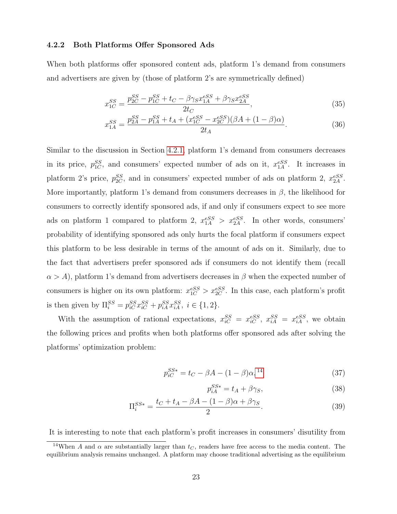#### 4.2.2 Both Platforms Offer Sponsored Ads

When both platforms offer sponsored content ads, platform 1's demand from consumers and advertisers are given by (those of platform 2's are symmetrically defined)

$$
x_{1C}^{SS} = \frac{p_{2C}^{SS} - p_{1C}^{SS} + t_C - \beta \gamma_S x_{1A}^{eSS} + \beta \gamma_S x_{2A}^{eSS}}{2t_C},\tag{35}
$$

$$
x_{1A}^{SS} = \frac{p_{2A}^{SS} - p_{1A}^{SS} + t_A + (x_{1C}^{eSS} - x_{2C}^{eSS})(\beta A + (1 - \beta)\alpha)}{2t_A}.
$$
 (36)

Similar to the discussion in Section [4.2.1,](#page-20-1) platform 1's demand from consumers decreases in its price,  $p_{1C}^{SS}$ , and consumers' expected number of ads on it,  $x_{1A}^{eSS}$ . It increases in platform 2's price,  $p_{2C}^{SS}$ , and in consumers' expected number of ads on platform 2,  $x_{2A}^{eSS}$ . More importantly, platform 1's demand from consumers decreases in  $\beta$ , the likelihood for consumers to correctly identify sponsored ads, if and only if consumers expect to see more ads on platform 1 compared to platform 2,  $x_{1A}^{eSS} > x_{2A}^{eSS}$ . In other words, consumers' probability of identifying sponsored ads only hurts the focal platform if consumers expect this platform to be less desirable in terms of the amount of ads on it. Similarly, due to the fact that advertisers prefer sponsored ads if consumers do not identify them (recall  $\alpha > A$ ), platform 1's demand from advertisers decreases in  $\beta$  when the expected number of consumers is higher on its own platform:  $x_{1C}^{eSS} > x_{2C}^{eSS}$ . In this case, each platform's profit is then given by  $\Pi_{i}^{SS} = p_{iC}^{SS} x_{iC}^{SS} + p_{iA}^{SS} x_{iA}^{SS}, i \in \{1, 2\}.$ 

With the assumption of rational expectations,  $x_{iC}^{SS} = x_{iC}^{eSS}$ ,  $x_{iA}^{SS} = x_{iA}^{eSS}$ , we obtain the following prices and profits when both platforms offer sponsored ads after solving the platforms' optimization problem:

$$
p_{iC}^{SS*} = t_C - \beta A - (1 - \beta)\alpha,^{14}
$$
 (37)

$$
p_{iA}^{SS*} = t_A + \beta \gamma_S,\tag{38}
$$

$$
\Pi_i^{SS*} = \frac{t_C + t_A - \beta A - (1 - \beta)\alpha + \beta \gamma_S}{2}.
$$
\n(39)

It is interesting to note that each platform's profit increases in consumers' disutility from

<span id="page-22-0"></span><sup>&</sup>lt;sup>14</sup>When A and  $\alpha$  are substantially larger than  $t_C$ , readers have free access to the media content. The equilibrium analysis remains unchanged. A platform may choose traditional advertising as the equilibrium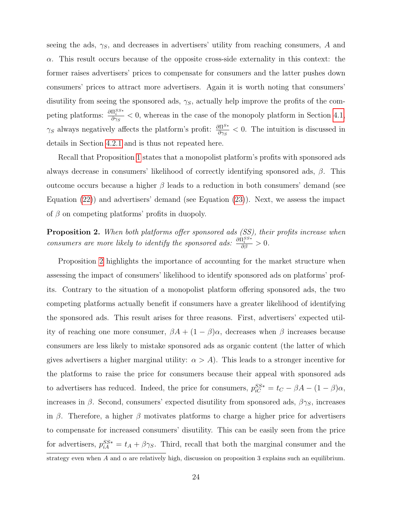seeing the ads,  $\gamma_S$ , and decreases in advertisers' utility from reaching consumers, A and  $\alpha$ . This result occurs because of the opposite cross-side externality in this context: the former raises advertisers' prices to compensate for consumers and the latter pushes down consumers' prices to attract more advertisers. Again it is worth noting that consumers' disutility from seeing the sponsored ads,  $\gamma_S$ , actually help improve the profits of the competing platforms:  $\frac{\partial \Pi_i^{SS*}}{\partial \gamma_S} < 0$ , whereas in the case of the monopoly platform in Section [4.1,](#page-15-0)  $\gamma_S$  always negatively affects the platform's profit:  $\frac{\partial \Pi^{S*}}{\partial \gamma_S} < 0$ . The intuition is discussed in details in Section [4.2.1](#page-20-1) and is thus not repeated here.

Recall that Proposition [1](#page-18-1) states that a monopolist platform's profits with sponsored ads always decrease in consumers' likelihood of correctly identifying sponsored ads,  $\beta$ . This outcome occurs because a higher  $\beta$  leads to a reduction in both consumers' demand (see Equation [\(22\)](#page-17-1)) and advertisers' demand (see Equation [\(23\)](#page-17-2)). Next, we assess the impact of  $\beta$  on competing platforms' profits in duopoly.

<span id="page-23-0"></span>Proposition 2. When both platforms offer sponsored ads (SS), their profits increase when consumers are more likely to identify the sponsored ads:  $\frac{\partial \Pi_i^{SS*}}{\partial \beta} > 0$ .

Proposition [2](#page-23-0) highlights the importance of accounting for the market structure when assessing the impact of consumers' likelihood to identify sponsored ads on platforms' profits. Contrary to the situation of a monopolist platform offering sponsored ads, the two competing platforms actually benefit if consumers have a greater likelihood of identifying the sponsored ads. This result arises for three reasons. First, advertisers' expected utility of reaching one more consumer,  $\beta A + (1 - \beta)\alpha$ , decreases when  $\beta$  increases because consumers are less likely to mistake sponsored ads as organic content (the latter of which gives advertisers a higher marginal utility:  $\alpha > A$ ). This leads to a stronger incentive for the platforms to raise the price for consumers because their appeal with sponsored ads to advertisers has reduced. Indeed, the price for consumers,  $p_{iC}^{SS*} = t_C - \beta A - (1 - \beta)\alpha$ , increases in  $\beta$ . Second, consumers' expected disutility from sponsored ads,  $\beta\gamma_S$ , increases in β. Therefore, a higher β motivates platforms to charge a higher price for advertisers to compensate for increased consumers' disutility. This can be easily seen from the price for advertisers,  $p_{iA}^{SS*} = t_A + \beta \gamma_S$ . Third, recall that both the marginal consumer and the strategy even when A and  $\alpha$  are relatively high, discussion on proposition 3 explains such an equilibrium.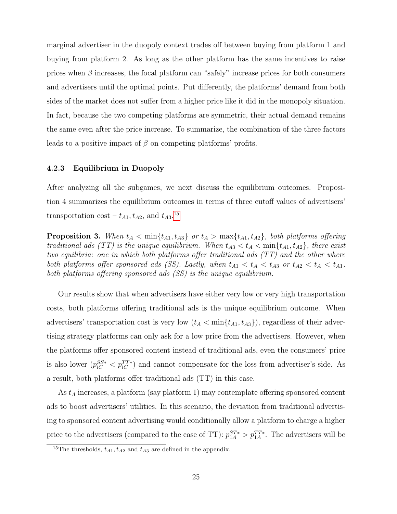marginal advertiser in the duopoly context trades off between buying from platform 1 and buying from platform 2. As long as the other platform has the same incentives to raise prices when  $\beta$  increases, the focal platform can "safely" increase prices for both consumers and advertisers until the optimal points. Put differently, the platforms' demand from both sides of the market does not suffer from a higher price like it did in the monopoly situation. In fact, because the two competing platforms are symmetric, their actual demand remains the same even after the price increase. To summarize, the combination of the three factors leads to a positive impact of  $\beta$  on competing platforms' profits.

### 4.2.3 Equilibrium in Duopoly

After analyzing all the subgames, we next discuss the equilibrium outcomes. Proposition 4 summarizes the equilibrium outcomes in terms of three cutoff values of advertisers' transportation cost –  $t_{A1}, t_{A2}$ , and  $t_{A3}$ .<sup>[15](#page-24-0)</sup>

<span id="page-24-1"></span>**Proposition 3.** When  $t_A < \min\{t_{A1}, t_{A3}\}$  or  $t_A > \max\{t_{A1}, t_{A2}\}$ , both platforms offering traditional ads (TT) is the unique equilibrium. When  $t_{A3} < t_A < \min\{t_{A1}, t_{A2}\}\$ , there exist two equilibria: one in which both platforms offer traditional ads (TT) and the other where both platforms offer sponsored ads (SS). Lastly, when  $t_{A1} < t_A < t_{A3}$  or  $t_{A2} < t_A < t_{A1}$ , both platforms offering sponsored ads  $(SS)$  is the unique equilibrium.

Our results show that when advertisers have either very low or very high transportation costs, both platforms offering traditional ads is the unique equilibrium outcome. When advertisers' transportation cost is very low  $(t_A < \min\{t_{A1}, t_{A3}\})$ , regardless of their advertising strategy platforms can only ask for a low price from the advertisers. However, when the platforms offer sponsored content instead of traditional ads, even the consumers' price is also lower  $(p_{iC}^{SS*} < p_{iC}^{TT*})$  and cannot compensate for the loss from advertiser's side. As a result, both platforms offer traditional ads (TT) in this case.

As  $t_A$  increases, a platform (say platform 1) may contemplate offering sponsored content ads to boost advertisers' utilities. In this scenario, the deviation from traditional advertising to sponsored content advertising would conditionally allow a platform to charge a higher price to the advertisers (compared to the case of TT):  $p_{1A}^{ST*} > p_{1A}^{TT*}$ . The advertisers will be

<span id="page-24-0"></span><sup>&</sup>lt;sup>15</sup>The thresholds,  $t_{A1}$ ,  $t_{A2}$  and  $t_{A3}$  are defined in the appendix.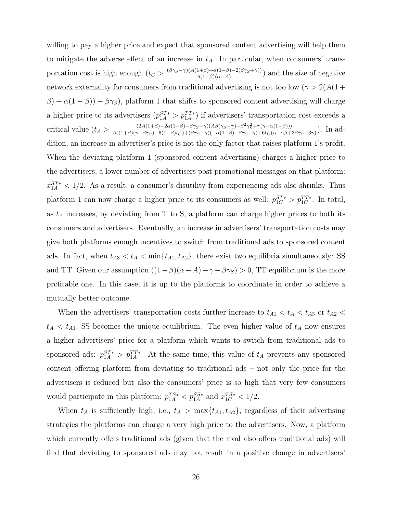willing to pay a higher price and expect that sponsored content advertising will help them to mitigate the adverse effect of an increase in  $t_A$ . In particular, when consumers' transportation cost is high enough  $(t_C > \frac{(\beta \gamma_S - \gamma)(A(1+\beta) + \alpha(1-\beta) - 2(\beta \gamma_S + \gamma))}{6(1-\beta)(\alpha - A)}$  $\frac{(1+\beta)+\alpha(1-\beta)-2(\beta\gamma_S+\gamma))}{6(1-\beta)(\alpha-A)}$  and the size of negative network externality for consumers from traditional advertising is not too low ( $\gamma > 2(A(1 +$  $\beta$ ) +  $\alpha(1-\beta)$ ) –  $\beta\gamma_S$ ), platform 1 that shifts to sponsored content advertising will charge a higher price to its advertisers  $(p_{1A}^{ST*} > p_{1A}^{TT*})$  if advertisers' transportation cost exceeds a critical value  $(t_A > \frac{(2A(1+\beta)+2\alpha(1-\beta)-\beta\gamma_S-\gamma)(A\beta(\gamma_S-\gamma)-\beta^2\gamma_S^2+\gamma(\gamma-\alpha(1-\beta)))}{A((1+\beta)(\gamma-\beta\gamma_S)-6(1-\beta)t\gamma)+A(\beta\gamma_S-\gamma)(-6(1-\beta)-\beta\gamma_S-\gamma)+6tc(\alpha-\alpha\beta+1)}$  $\frac{(2A(1+\beta)+2\alpha(1-\beta)-\beta\gamma_S-\gamma)(A\beta(\gamma_S-\gamma)-\beta\gamma_S+\gamma(\gamma-\alpha(1-\beta)))}{A((1+\beta)(\gamma-\beta\gamma_S)-6(1-\beta)t_C)+(\beta\gamma_S-\gamma)(-\alpha(1-\beta)-\beta\gamma_S-\gamma)+6t_C(\alpha-\alpha\beta+3\beta\gamma_S-3\gamma)})$ . In addition, an increase in advertiser's price is not the only factor that raises platform 1's profit. When the deviating platform 1 (sponsored content advertising) charges a higher price to the advertisers, a lower number of advertisers post promotional messages on that platform:  $x_{1A}^{ST*}$  < 1/2. As a result, a consumer's disutility from experiencing ads also shrinks. Thus platform 1 can now charge a higher price to its consumers as well:  $p_{1C}^{ST*} > p_{1C}^{TT*}$ . In total, as  $t_A$  increases, by deviating from T to S, a platform can charge higher prices to both its consumers and advertisers. Eventually, an increase in advertisers' transportation costs may give both platforms enough incentives to switch from traditional ads to sponsored content ads. In fact, when  $t_{A3} < t_A < \min\{t_{A1}, t_{A2}\}\$ , there exist two equilibria simultaneously: SS and TT. Given our assumption  $((1 - \beta)(\alpha - A) + \gamma - \beta \gamma_s) > 0$ , TT equilibrium is the more profitable one. In this case, it is up to the platforms to coordinate in order to achieve a mutually better outcome.

When the advertisers' transportation costs further increase to  $t_{A1} < t_A < t_{A3}$  or  $t_{A2} <$  $t_A < t_{A1}$ , SS becomes the unique equilibrium. The even higher value of  $t_A$  now ensures a higher advertisers' price for a platform which wants to switch from traditional ads to sponsored ads:  $p_{1A}^{ST*} > p_{1A}^{TT*}$ . At the same time, this value of  $t_A$  prevents any sponsored content offering platform from deviating to traditional ads – not only the price for the advertisers is reduced but also the consumers' price is so high that very few consumers would participate in this platform:  $p_{1A}^{TS*} < p_{1A}^{SS*}$  and  $x_{1C}^{TS*} < 1/2$ .

When  $t_A$  is sufficiently high, i.e.,  $t_A > \max\{t_{A1}, t_{A2}\}$ , regardless of their advertising strategies the platforms can charge a very high price to the advertisers. Now, a platform which currently offers traditional ads (given that the rival also offers traditional ads) will find that deviating to sponsored ads may not result in a positive change in advertisers'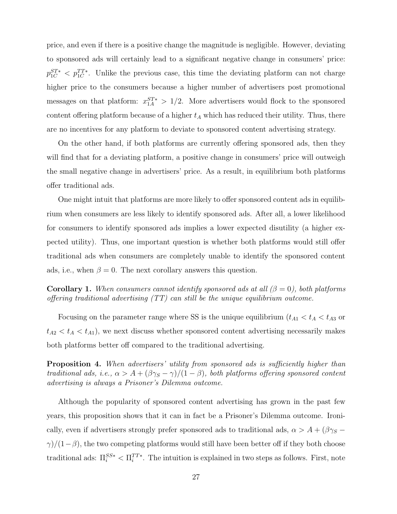price, and even if there is a positive change the magnitude is negligible. However, deviating to sponsored ads will certainly lead to a significant negative change in consumers' price:  $p_{1C}^{ST*} < p_{1C}^{TT*}$ . Unlike the previous case, this time the deviating platform can not charge higher price to the consumers because a higher number of advertisers post promotional messages on that platform:  $x_{1A}^{ST*} > 1/2$ . More advertisers would flock to the sponsored content offering platform because of a higher  $t_A$  which has reduced their utility. Thus, there are no incentives for any platform to deviate to sponsored content advertising strategy.

On the other hand, if both platforms are currently offering sponsored ads, then they will find that for a deviating platform, a positive change in consumers' price will outweigh the small negative change in advertisers' price. As a result, in equilibrium both platforms offer traditional ads.

One might intuit that platforms are more likely to offer sponsored content ads in equilibrium when consumers are less likely to identify sponsored ads. After all, a lower likelihood for consumers to identify sponsored ads implies a lower expected disutility (a higher expected utility). Thus, one important question is whether both platforms would still offer traditional ads when consumers are completely unable to identify the sponsored content ads, i.e., when  $\beta = 0$ . The next corollary answers this question.

<span id="page-26-1"></span>**Corollary 1.** When consumers cannot identify sponsored ads at all  $(\beta = 0)$ , both platforms offering traditional advertising (TT) can still be the unique equilibrium outcome.

Focusing on the parameter range where SS is the unique equilibrium ( $t_{A1} < t_A < t_{A3}$ ) or  $t_{A2} < t_A < t_{A1}$ , we next discuss whether sponsored content advertising necessarily makes both platforms better off compared to the traditional advertising.

<span id="page-26-0"></span>Proposition 4. When advertisers' utility from sponsored ads is sufficiently higher than traditional ads, i.e.,  $\alpha > A + (\beta \gamma_S - \gamma)/(1 - \beta)$ , both platforms offering sponsored content advertising is always a Prisoner's Dilemma outcome.

Although the popularity of sponsored content advertising has grown in the past few years, this proposition shows that it can in fact be a Prisoner's Dilemma outcome. Ironically, even if advertisers strongly prefer sponsored ads to traditional ads,  $\alpha > A + (\beta \gamma_S \gamma$ /(1−β), the two competing platforms would still have been better off if they both choose traditional ads:  $\Pi_i^{SS*} < \Pi_i^{TT*}$ . The intuition is explained in two steps as follows. First, note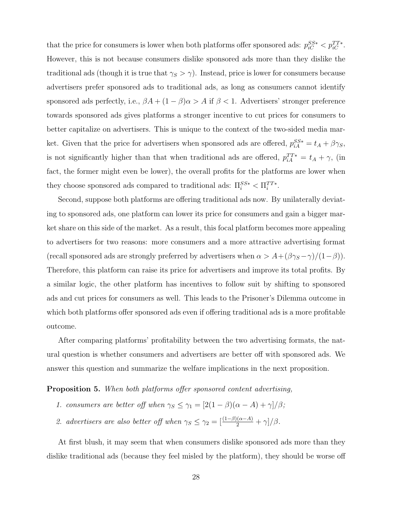that the price for consumers is lower when both platforms offer sponsored ads:  $p_{iC}^{SS*} < p_{iC}^{TT*}$ . However, this is not because consumers dislike sponsored ads more than they dislike the traditional ads (though it is true that  $\gamma_S > \gamma$ ). Instead, price is lower for consumers because advertisers prefer sponsored ads to traditional ads, as long as consumers cannot identify sponsored ads perfectly, i.e.,  $\beta A + (1 - \beta)\alpha > A$  if  $\beta < 1$ . Advertisers' stronger preference towards sponsored ads gives platforms a stronger incentive to cut prices for consumers to better capitalize on advertisers. This is unique to the context of the two-sided media market. Given that the price for advertisers when sponsored ads are offered,  $p_{iA}^{SS*} = t_A + \beta \gamma_S$ , is not significantly higher than that when traditional ads are offered,  $p_{iA}^{TT*} = t_A + \gamma$ , (in fact, the former might even be lower), the overall profits for the platforms are lower when they choose sponsored ads compared to traditional ads:  $\Pi_i^{SS*} < \Pi_i^{TT*}$ .

Second, suppose both platforms are offering traditional ads now. By unilaterally deviating to sponsored ads, one platform can lower its price for consumers and gain a bigger market share on this side of the market. As a result, this focal platform becomes more appealing to advertisers for two reasons: more consumers and a more attractive advertising format (recall sponsored ads are strongly preferred by advertisers when  $\alpha > A + (\beta \gamma_S - \gamma)/(1 - \beta)$ ). Therefore, this platform can raise its price for advertisers and improve its total profits. By a similar logic, the other platform has incentives to follow suit by shifting to sponsored ads and cut prices for consumers as well. This leads to the Prisoner's Dilemma outcome in which both platforms offer sponsored ads even if offering traditional ads is a more profitable outcome.

After comparing platforms' profitability between the two advertising formats, the natural question is whether consumers and advertisers are better off with sponsored ads. We answer this question and summarize the welfare implications in the next proposition.

<span id="page-27-0"></span>Proposition 5. When both platforms offer sponsored content advertising,

- 1. consumers are better off when  $\gamma_S \leq \gamma_1 = [2(1 \beta)(\alpha A) + \gamma]/\beta;$
- 2. advertisers are also better off when  $\gamma_S \leq \gamma_2 = \left[\frac{(1-\beta)(\alpha-A)}{2} + \gamma\right]/\beta$ .

At first blush, it may seem that when consumers dislike sponsored ads more than they dislike traditional ads (because they feel misled by the platform), they should be worse off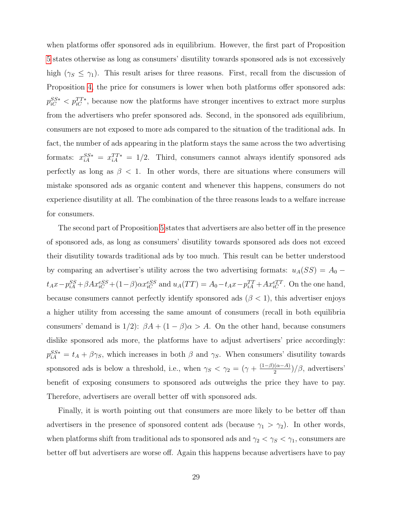when platforms offer sponsored ads in equilibrium. However, the first part of Proposition [5](#page-27-0) states otherwise as long as consumers' disutility towards sponsored ads is not excessively high ( $\gamma_s \leq \gamma_1$ ). This result arises for three reasons. First, recall from the discussion of Proposition [4,](#page-26-0) the price for consumers is lower when both platforms offer sponsored ads:  $p_{iC}^{SS*} < p_{iC}^{TT*}$ , because now the platforms have stronger incentives to extract more surplus from the advertisers who prefer sponsored ads. Second, in the sponsored ads equilibrium, consumers are not exposed to more ads compared to the situation of the traditional ads. In fact, the number of ads appearing in the platform stays the same across the two advertising formats:  $x_{iA}^{SS*} = x_{iA}^{TT*} = 1/2$ . Third, consumers cannot always identify sponsored ads perfectly as long as  $\beta$  < 1. In other words, there are situations where consumers will mistake sponsored ads as organic content and whenever this happens, consumers do not experience disutility at all. The combination of the three reasons leads to a welfare increase for consumers.

The second part of Proposition [5](#page-27-0) states that advertisers are also better off in the presence of sponsored ads, as long as consumers' disutility towards sponsored ads does not exceed their disutility towards traditional ads by too much. This result can be better understood by comparing an advertiser's utility across the two advertising formats:  $u_A(SS) = A_0$  $t_A x - p_{iA}^{SS} + \beta A x_{iC}^{ess} + (1-\beta) \alpha x_{iC}^{ess}$  and  $u_A(TT) = A_0 - t_A x - p_{iA}^{TT} + A x_{iC}^{err}$ . On the one hand, because consumers cannot perfectly identify sponsored ads  $(\beta < 1)$ , this advertiser enjoys a higher utility from accessing the same amount of consumers (recall in both equilibria consumers' demand is  $1/2$ :  $\beta A + (1 - \beta)\alpha > A$ . On the other hand, because consumers dislike sponsored ads more, the platforms have to adjust advertisers' price accordingly:  $p_{iA}^{SS*} = t_A + \beta \gamma_S$ , which increases in both  $\beta$  and  $\gamma_S$ . When consumers' disutility towards sponsored ads is below a threshold, i.e., when  $\gamma_S < \gamma_2 = (\gamma + \frac{(1-\beta)(\alpha-A)}{2})$  $\frac{(\alpha-A)}{2}$ )/ $\beta$ , advertisers' benefit of exposing consumers to sponsored ads outweighs the price they have to pay. Therefore, advertisers are overall better off with sponsored ads.

Finally, it is worth pointing out that consumers are more likely to be better off than advertisers in the presence of sponsored content ads (because  $\gamma_1 > \gamma_2$ ). In other words, when platforms shift from traditional ads to sponsored ads and  $\gamma_2 < \gamma_S < \gamma_1$ , consumers are better off but advertisers are worse off. Again this happens because advertisers have to pay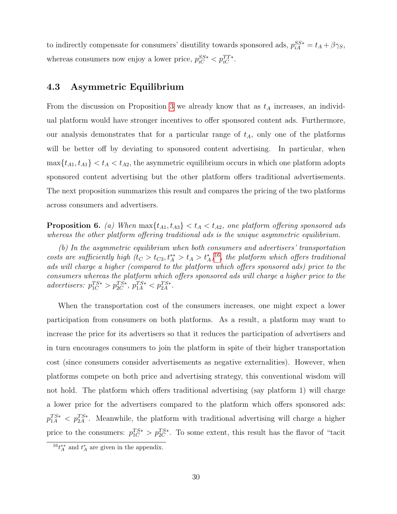to indirectly compensate for consumers' disutility towards sponsored ads,  $p_{iA}^{SS*} = t_A + \beta \gamma_S$ , whereas consumers now enjoy a lower price,  $p_{iC}^{SS*} < p_{iC}^{TT*}$ .

## 4.3 Asymmetric Equilibrium

From the discussion on Proposition [3](#page-24-1) we already know that as  $t_A$  increases, an individual platform would have stronger incentives to offer sponsored content ads. Furthermore, our analysis demonstrates that for a particular range of  $t_A$ , only one of the platforms will be better off by deviating to sponsored content advertising. In particular, when  $\max\{t_{A1}, t_{A1}\} < t_A < t_{A2}$ , the asymmetric equilibrium occurs in which one platform adopts sponsored content advertising but the other platform offers traditional advertisements. The next proposition summarizes this result and compares the pricing of the two platforms across consumers and advertisers.

<span id="page-29-1"></span>**Proposition 6.** (a) When  $\max\{t_{A1}, t_{A3}\} < t_A < t_{A2}$ , one platform offering sponsored ads whereas the other platform offering traditional ads is the unique asymmetric equilibrium.

(b) In the asymmetric equilibrium when both consumers and advertisers' transportation costs are sufficiently high  $(t_C > t_{C3}, t_A^* > t_A > t_A^*)^{16}$  $(t_C > t_{C3}, t_A^* > t_A > t_A^*)^{16}$  $(t_C > t_{C3}, t_A^* > t_A > t_A^*)^{16}$ , the platform which offers traditional ads will charge a higher (compared to the platform which offers sponsored ads) price to the consumers whereas the platform which offers sponsored ads will charge a higher price to the advertisers:  $p_{1C}^{TS*} > p_{2C}^{TS*}$ ,  $p_{1A}^{TS*} < p_{2A}^{TS*}$ .

When the transportation cost of the consumers increases, one might expect a lower participation from consumers on both platforms. As a result, a platform may want to increase the price for its advertisers so that it reduces the participation of advertisers and in turn encourages consumers to join the platform in spite of their higher transportation cost (since consumers consider advertisements as negative externalities). However, when platforms compete on both price and advertising strategy, this conventional wisdom will not hold. The platform which offers traditional advertising (say platform 1) will charge a lower price for the advertisers compared to the platform which offers sponsored ads:  $p_{1A}^{TS*} < p_{2A}^{TS*}$ . Meanwhile, the platform with traditional advertising will charge a higher price to the consumers:  $p_{1C}^{TS*} > p_{2C}^{TS*}$ . To some extent, this result has the flavor of "tacit"

<span id="page-29-0"></span> ${}^{16}t_A^{**}$  and  $t_A^*$  are given in the appendix.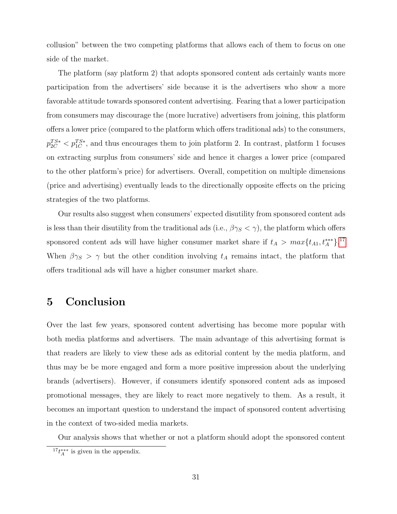collusion" between the two competing platforms that allows each of them to focus on one side of the market.

The platform (say platform 2) that adopts sponsored content ads certainly wants more participation from the advertisers' side because it is the advertisers who show a more favorable attitude towards sponsored content advertising. Fearing that a lower participation from consumers may discourage the (more lucrative) advertisers from joining, this platform offers a lower price (compared to the platform which offers traditional ads) to the consumers,  $p_{2C}^{TS*} < p_{1C}^{TS*}$ , and thus encourages them to join platform 2. In contrast, platform 1 focuses on extracting surplus from consumers' side and hence it charges a lower price (compared to the other platform's price) for advertisers. Overall, competition on multiple dimensions (price and advertising) eventually leads to the directionally opposite effects on the pricing strategies of the two platforms.

Our results also suggest when consumers' expected disutility from sponsored content ads is less than their disutility from the traditional ads (i.e.,  $\beta \gamma_S < \gamma$ ), the platform which offers sponsored content ads will have higher consumer market share if  $t_A > max\{t_{A1}, t_A^{***}\}.$ <sup>[17](#page-30-0)</sup> When  $\beta \gamma_S > \gamma$  but the other condition involving  $t_A$  remains intact, the platform that offers traditional ads will have a higher consumer market share.

# 5 Conclusion

Over the last few years, sponsored content advertising has become more popular with both media platforms and advertisers. The main advantage of this advertising format is that readers are likely to view these ads as editorial content by the media platform, and thus may be be more engaged and form a more positive impression about the underlying brands (advertisers). However, if consumers identify sponsored content ads as imposed promotional messages, they are likely to react more negatively to them. As a result, it becomes an important question to understand the impact of sponsored content advertising in the context of two-sided media markets.

Our analysis shows that whether or not a platform should adopt the sponsored content

<span id="page-30-0"></span> $17t^{***}_A$  is given in the appendix.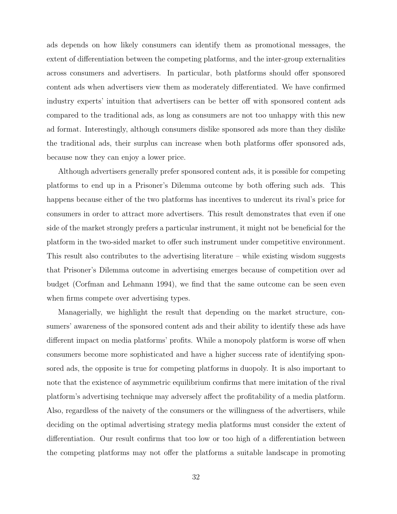ads depends on how likely consumers can identify them as promotional messages, the extent of differentiation between the competing platforms, and the inter-group externalities across consumers and advertisers. In particular, both platforms should offer sponsored content ads when advertisers view them as moderately differentiated. We have confirmed industry experts' intuition that advertisers can be better off with sponsored content ads compared to the traditional ads, as long as consumers are not too unhappy with this new ad format. Interestingly, although consumers dislike sponsored ads more than they dislike the traditional ads, their surplus can increase when both platforms offer sponsored ads, because now they can enjoy a lower price.

Although advertisers generally prefer sponsored content ads, it is possible for competing platforms to end up in a Prisoner's Dilemma outcome by both offering such ads. This happens because either of the two platforms has incentives to undercut its rival's price for consumers in order to attract more advertisers. This result demonstrates that even if one side of the market strongly prefers a particular instrument, it might not be beneficial for the platform in the two-sided market to offer such instrument under competitive environment. This result also contributes to the advertising literature – while existing wisdom suggests that Prisoner's Dilemma outcome in advertising emerges because of competition over ad budget (Corfman and Lehmann 1994), we find that the same outcome can be seen even when firms compete over advertising types.

Managerially, we highlight the result that depending on the market structure, consumers' awareness of the sponsored content ads and their ability to identify these ads have different impact on media platforms' profits. While a monopoly platform is worse off when consumers become more sophisticated and have a higher success rate of identifying sponsored ads, the opposite is true for competing platforms in duopoly. It is also important to note that the existence of asymmetric equilibrium confirms that mere imitation of the rival platform's advertising technique may adversely affect the profitability of a media platform. Also, regardless of the naivety of the consumers or the willingness of the advertisers, while deciding on the optimal advertising strategy media platforms must consider the extent of differentiation. Our result confirms that too low or too high of a differentiation between the competing platforms may not offer the platforms a suitable landscape in promoting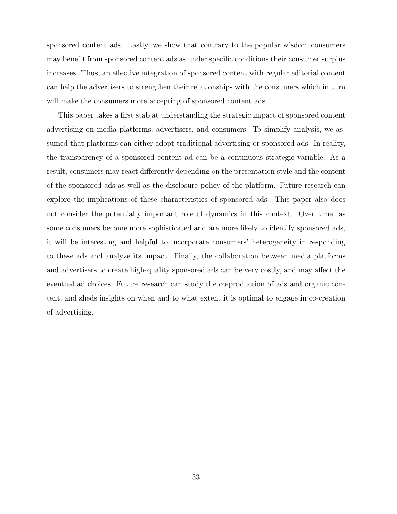sponsored content ads. Lastly, we show that contrary to the popular wisdom consumers may benefit from sponsored content ads as under specific conditions their consumer surplus increases. Thus, an effective integration of sponsored content with regular editorial content can help the advertisers to strengthen their relationships with the consumers which in turn will make the consumers more accepting of sponsored content ads.

This paper takes a first stab at understanding the strategic impact of sponsored content advertising on media platforms, advertisers, and consumers. To simplify analysis, we assumed that platforms can either adopt traditional advertising or sponsored ads. In reality, the transparency of a sponsored content ad can be a continuous strategic variable. As a result, consumers may react differently depending on the presentation style and the content of the sponsored ads as well as the disclosure policy of the platform. Future research can explore the implications of these characteristics of sponsored ads. This paper also does not consider the potentially important role of dynamics in this context. Over time, as some consumers become more sophisticated and are more likely to identify sponsored ads, it will be interesting and helpful to incorporate consumers' heterogeneity in responding to these ads and analyze its impact. Finally, the collaboration between media platforms and advertisers to create high-quality sponsored ads can be very costly, and may affect the eventual ad choices. Future research can study the co-production of ads and organic content, and sheds insights on when and to what extent it is optimal to engage in co-creation of advertising.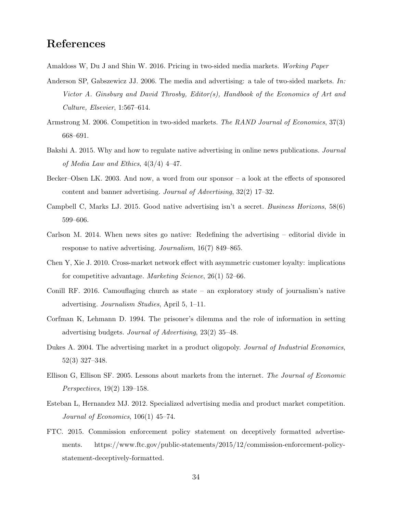# References

Amaldoss W, Du J and Shin W. 2016. Pricing in two-sided media markets. Working Paper

- Anderson SP, Gabszewicz JJ. 2006. The media and advertising: a tale of two-sided markets. In: Victor A. Ginsburg and David Throsby, Editor(s), Handbook of the Economics of Art and Culture, Elsevier, 1:567–614.
- Armstrong M. 2006. Competition in two-sided markets. The RAND Journal of Economics, 37(3) 668–691.
- Bakshi A. 2015. Why and how to regulate native advertising in online news publications. Journal of Media Law and Ethics, 4(3/4) 4–47.
- Becker–Olsen LK. 2003. And now, a word from our sponsor a look at the effects of sponsored content and banner advertising. Journal of Advertising, 32(2) 17–32.
- Campbell C, Marks LJ. 2015. Good native advertising isn't a secret. Business Horizons, 58(6) 599–606.
- Carlson M. 2014. When news sites go native: Redefining the advertising editorial divide in response to native advertising. *Journalism*, 16(7) 849–865.
- Chen Y, Xie J. 2010. Cross-market network effect with asymmetric customer loyalty: implications for competitive advantage. Marketing Science, 26(1) 52–66.
- Conill RF. 2016. Camouflaging church as state an exploratory study of journalism's native advertising. Journalism Studies, April 5, 1–11.
- Corfman K, Lehmann D. 1994. The prisoner's dilemma and the role of information in setting advertising budgets. Journal of Advertising, 23(2) 35–48.
- Dukes A. 2004. The advertising market in a product oligopoly. Journal of Industrial Economics, 52(3) 327–348.
- Ellison G, Ellison SF. 2005. Lessons about markets from the internet. The Journal of Economic Perspectives, 19(2) 139–158.
- Esteban L, Hernandez MJ. 2012. Specialized advertising media and product market competition. Journal of Economics,  $106(1)$  45–74.
- FTC. 2015. Commission enforcement policy statement on deceptively formatted advertisements. https://www.ftc.gov/public-statements/2015/12/commission-enforcement-policystatement-deceptively-formatted.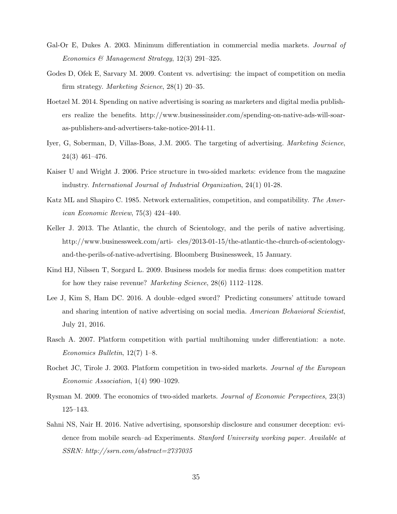- Gal-Or E, Dukes A. 2003. Minimum differentiation in commercial media markets. *Journal of* Economics & Management Strategy, 12(3) 291–325.
- Godes D, Ofek E, Sarvary M. 2009. Content vs. advertising: the impact of competition on media firm strategy. Marketing Science, 28(1) 20–35.
- Hoetzel M. 2014. Spending on native advertising is soaring as marketers and digital media publishers realize the benefits. http://www.businessinsider.com/spending-on-native-ads-will-soaras-publishers-and-advertisers-take-notice-2014-11.
- Iyer, G, Soberman, D, Villas-Boas, J.M. 2005. The targeting of advertising. *Marketing Science*, 24(3) 461–476.
- Kaiser U and Wright J. 2006. Price structure in two-sided markets: evidence from the magazine industry. International Journal of Industrial Organization, 24(1) 01-28.
- Katz ML and Shapiro C. 1985. Network externalities, competition, and compatibility. The American Economic Review, 75(3) 424–440.
- Keller J. 2013. The Atlantic, the church of Scientology, and the perils of native advertising. http://www.businessweek.com/arti- cles/2013-01-15/the-atlantic-the-church-of-scientologyand-the-perils-of-native-advertising. Bloomberg Businessweek, 15 January.
- Kind HJ, Nilssen T, Sorgard L. 2009. Business models for media firms: does competition matter for how they raise revenue? Marketing Science, 28(6) 1112-1128.
- Lee J, Kim S, Ham DC. 2016. A double–edged sword? Predicting consumers' attitude toward and sharing intention of native advertising on social media. American Behavioral Scientist, July 21, 2016.
- Rasch A. 2007. Platform competition with partial multihoming under differentiation: a note. Economics Bulletin, 12(7) 1–8.
- Rochet JC, Tirole J. 2003. Platform competition in two-sided markets. Journal of the European Economic Association, 1(4) 990–1029.
- Rysman M. 2009. The economics of two-sided markets. Journal of Economic Perspectives, 23(3) 125–143.
- Sahni NS, Nair H. 2016. Native advertising, sponsorship disclosure and consumer deception: evidence from mobile search–ad Experiments. Stanford University working paper. Available at SSRN: http://ssrn.com/abstract=2737035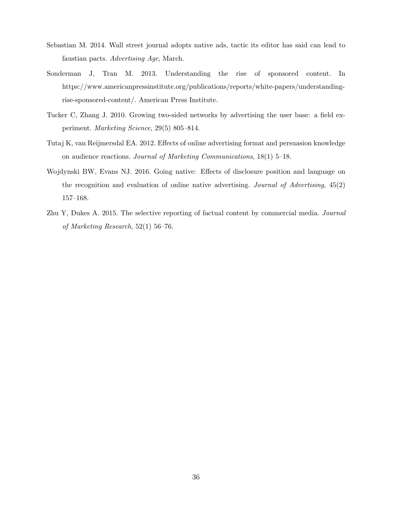- Sebastian M. 2014. Wall street journal adopts native ads, tactic its editor has said can lead to faustian pacts. Advertising Age, March.
- Sonderman J, Tran M. 2013. Understanding the rise of sponsored content. In https://www.americanpressinstitute.org/publications/reports/white-papers/understandingrise-sponsored-content/. American Press Institute.
- Tucker C, Zhang J. 2010. Growing two-sided networks by advertising the user base: a field experiment. Marketing Science, 29(5) 805–814.
- Tutaj K, van Reijmersdal EA. 2012. Effects of online advertising format and persuasion knowledge on audience reactions. Journal of Marketing Communications, 18(1) 5–18.
- Wojdynski BW, Evans NJ. 2016. Going native: Effects of disclosure position and language on the recognition and evaluation of online native advertising. Journal of Advertising,  $45(2)$ 157–168.
- Zhu Y, Dukes A. 2015. The selective reporting of factual content by commercial media. Journal of Marketing Research, 52(1) 56–76.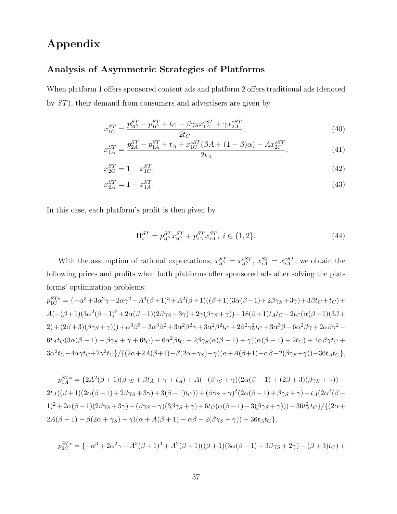# Appendix

## Analysis of Asymmetric Strategies of Platforms

When platform 1 offers sponsored content ads and platform 2 offers traditional ads (denoted by ST), their demand from consumers and advertisers are given by

$$
x_{1C}^{ST} = \frac{p_{2C}^{ST} - p_{1C}^{ST} + t_C - \beta \gamma_S x_{1A}^{eST} + \gamma x_{2A}^{eST}}{2t_C},\tag{40}
$$

$$
x_{1A}^{ST} = \frac{p_{2A}^{ST} - p_{1A}^{ST} + t_A + x_{1C}^{eST}(\beta A + (1 - \beta)\alpha) - Ax_{2C}^{eST}}{2t_A},\tag{41}
$$

$$
x_{2C}^{ST} = 1 - x_{1C}^{ST},\tag{42}
$$

$$
x_{2A}^{ST} = 1 - x_{1A}^{ST}.\tag{43}
$$

In this case, each platform's profit is then given by

$$
\Pi_i^{ST} = p_{iC}^{ST} x_{iC}^{ST} + p_{iA}^{ST} x_{iA}^{ST}, \ i \in \{1, 2\}.
$$
\n(44)

With the assumption of rational expectations,  $x_{iC}^{ST} = x_{iC}^{eST}$ ,  $x_{iA}^{ST} = x_{iA}^{eST}$ , we obtain the following prices and profits when both platforms offer sponsored ads after solving the platforms' optimization problems:

$$
p_{1C}^{ST*} = \{-\alpha^3 + 3\alpha^2\gamma - 2\alpha\gamma^2 - A^3(\beta + 1)^3 + A^2(\beta + 1)((\beta + 1)(3\alpha(\beta - 1) + 2\beta\gamma_S + 3\gamma) + 3\beta t_C + t_C) + A(-(\beta + 1)(3\alpha^2(\beta - 1)^2 + 2\alpha(\beta - 1)(2\beta\gamma_S + 3\gamma) + 2\gamma(\beta\gamma_S + \gamma)) + 18(\beta + 1)t_At_C - 2t_C(\alpha(\beta - 1)(3\beta + 2) + (2\beta + 3)(\beta\gamma_S + \gamma))) + \alpha^3\beta^3 - 3\alpha^3\beta^2 + 3\alpha^2\beta^2\gamma + 3\alpha^2\beta^2t_C + 2\beta^2\gamma_S^2t_C + 3\alpha^3\beta - 6\alpha^2\beta\gamma + 2\alpha\beta\gamma^2 - 6t_At_C(3\alpha(\beta - 1) - \beta\gamma_S + \gamma + 6t_C) - 6\alpha^2\beta t_C + 2\beta\gamma_S(\alpha(\beta - 1) + \gamma)(\alpha(\beta - 1) + 2t_C) + 4\alpha\beta\gamma t_C + 3\alpha^2t_C - 4\alpha\gamma t_C + 2\gamma^2t_C\}/\{(2\alpha + 2A(\beta + 1) - \beta(2\alpha + \gamma_S) - \gamma)(\alpha + A(\beta + 1) - \alpha\beta - 2(\beta\gamma_S + \gamma)) - 36t_At_C\},\
$$

 $p_{1A}^{ST*} = \{2A^2(\beta + 1)(\beta\gamma_S + \beta t_A + \gamma + t_A) + A(-(\beta\gamma_S + \gamma)(2\alpha(\beta - 1) + (2\beta + 3)(\beta\gamma_S + \gamma)) 2t_A((\beta+1)(2\alpha(\beta-1)+2\beta\gamma_S+3\gamma)+3(\beta-1)t_C))+(\beta\gamma_S+\gamma)^2(2\alpha(\beta-1)+\beta\gamma_S+\gamma)+t_A(2\alpha^2(\beta-1)+\beta^2\gamma_S+\gamma)$  $1)^{2} + 2\alpha(\beta - 1)(2\beta\gamma_{S} + 3\gamma) + (\beta\gamma_{S} + \gamma)(3\beta\gamma_{S} + \gamma) + 6t_{C}(\alpha(\beta - 1) - 3(\beta\gamma_{S} + \gamma))) - 36t_{A}^{2}t_{C}$  }/{(2\applying}  $2A(\beta+1) - \beta(2\alpha+\gamma_S) - \gamma(\alpha+A(\beta+1)-\alpha\beta-2(\beta\gamma_S+\gamma)) - 36t_At_C,$ 

$$
p_{2C}^{ST*} = \{-\alpha^3 + 2\alpha^2\gamma - A^3(\beta + 1)^3 + A^2(\beta + 1)((\beta + 1)(3\alpha(\beta - 1) + 3\beta\gamma_S + 2\gamma) + (\beta + 3)t_C) + B^2(\beta + 1)(3\alpha(\beta - 1) + 3\beta\gamma_S + 2\gamma)
$$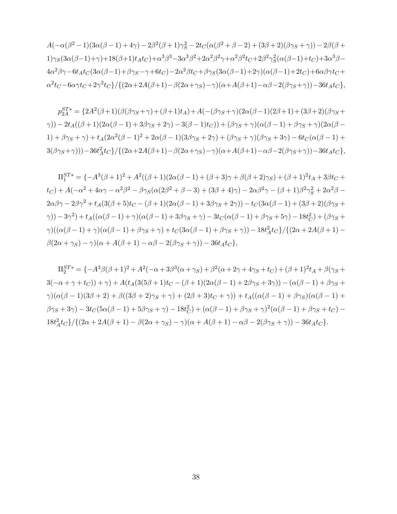$A(-\alpha(\beta^2 - 1)(3\alpha(\beta - 1) + 4\gamma) - 2\beta^2(\beta + 1)\gamma_S^2 - 2t_C(\alpha(\beta^2 + \beta - 2) + (3\beta + 2)(\beta\gamma_S + \gamma)) - 2\beta(\beta +$  $1) \gamma_S(3\alpha(\beta-1)+\gamma) +18(\beta+1)t_A t_C) + \alpha^3 \beta^3 - 3\alpha^3 \beta^2 + 2\alpha^2 \beta^2 \gamma + \alpha^2 \beta^2 t_C + 2\beta^2 \gamma_S^2(\alpha(\beta-1)+t_C) + 3\alpha^3 \beta 4\alpha^2\beta\gamma-6t_At_C(3\alpha(\beta-1)+\beta\gamma_S-\gamma+6t_C)-2\alpha^2\beta t_C+\beta\gamma_S(3\alpha(\beta-1)+2\gamma)(\alpha(\beta-1)+2t_C)+6\alpha\beta\gamma t_C+$  $\alpha^2 t_C - 6\alpha\gamma t_C + 2\gamma^2 t_C$ }/{ $(2\alpha + 2A(\beta + 1) - \beta(2\alpha + \gamma_S) - \gamma)(\alpha + A(\beta + 1) - \alpha\beta - 2(\beta\gamma_S + \gamma)) - 36t_A t_C$ },

 $p_{2A}^{ST*} = {2A^2(\beta+1)(\beta(\beta\gamma_S+\gamma)+(\beta+1)t_A)} + A(-(\beta\gamma_S+\gamma)(2\alpha(\beta-1)(2\beta+1)+(3\beta+2)(\beta\gamma_S+\gamma))$  $\gamma$ )) – 2t<sub>A</sub>((β + 1)(2 $\alpha$ (β – 1) + 3βγ<sub>S</sub> + 2γ) – 3(β – 1)t<sub>C</sub>)) + (βγ<sub>S</sub> + γ)( $\alpha$ (β – 1) + βγ<sub>S</sub> + γ)(2 $\alpha$ (β –  $1) + \beta \gamma_S + \gamma$ ) +  $t_A(2\alpha^2(\beta - 1)^2 + 2\alpha(\beta - 1)(3\beta\gamma_S + 2\gamma) + (\beta \gamma_S + \gamma)(\beta \gamma_S + 3\gamma) - 6t_C(\alpha(\beta - 1) +$  $3(\beta\gamma_S+\gamma)))-36t_A^2t_C$ }/{ $(2\alpha+2A(\beta+1)-\beta(2\alpha+\gamma_S)-\gamma)(\alpha+A(\beta+1)-\alpha\beta-2(\beta\gamma_S+\gamma))-36t_At_C$ },

 $\Pi_1^{ST*} = \{-A^3(\beta+1)^2 + A^2((\beta+1)(2\alpha(\beta-1)+(\beta+3)\gamma+\beta(\beta+2)\gamma_S) + (\beta+1)^2t_A + 3\beta t_C +$  $t_C$ ) +  $A(-\alpha^2 + 4\alpha\gamma - \alpha^2\beta^2 - \beta\gamma_S(\alpha(2\beta^2 + \beta - 3) + (3\beta + 4)\gamma) - 2\alpha\beta^2\gamma - (\beta + 1)\beta^2\gamma_S^2 + 2\alpha^2\beta 2\alpha\beta\gamma - 2\beta\gamma^2 + t_A(3(\beta + 5)t_C - (\beta + 1)(2\alpha(\beta - 1) + 3\beta\gamma_S + 2\gamma)) - t_C(3\alpha(\beta - 1) + (3\beta + 2)(\beta\gamma_S + 16\gamma)\gamma)$  $\gamma$ ))  $-3\gamma^2$ ) + t<sub>A</sub>(( $\alpha(\beta-1) + \gamma$ )( $\alpha(\beta-1) + 3\beta\gamma_S + \gamma$ )  $-3t_C(\alpha(\beta-1) + \beta\gamma_S + 5\gamma) - 18t_C^2$ ) + ( $\beta\gamma_S +$  $\gamma)((\alpha(\beta - 1) + \gamma)(\alpha(\beta - 1) + \beta\gamma_S + \gamma) + t_C(3\alpha(\beta - 1) + \beta\gamma_S + \gamma)) - 18t_A^2t_C\}/\{(2\alpha + 2A(\beta + 1) \beta(2\alpha + \gamma_S) - \gamma(\alpha + A(\beta + 1) - \alpha\beta - 2(\beta\gamma_S + \gamma)) - 36t_A t_C,$ 

 $\Pi_2^{ST*} = \{-A^3\beta(\beta+1)^2 + A^2(-\alpha+3\beta^3(\alpha+\gamma_S) + \beta^2(\alpha+2\gamma+4\gamma_S+t_C) + (\beta+1)^2t_A + \beta(\gamma_S+t_C)\}$  $3(-\alpha + \gamma + t_C)) + \gamma + A(t_A(3(5\beta + 1)t_C - (\beta + 1)(2\alpha(\beta - 1) + 2\beta\gamma_S + 3\gamma)) - (\alpha(\beta - 1) + \beta\gamma_S +$  $\gamma$ )( $\alpha(\beta-1)(3\beta+2)+\beta((3\beta+2)\gamma_{\rm S}+\gamma)+(2\beta+3)t_{\rm C}+\gamma$ )) + t<sub>A</sub>(( $\alpha(\beta-1)+\beta\gamma_{\rm S}$ )( $\alpha(\beta-1)+\gamma$ )  $(\beta \gamma_S + 3\gamma) - 3t_C(5\alpha(\beta - 1) + 5\beta\gamma_S + \gamma) - 18t_C^2) + (\alpha(\beta - 1) + \beta\gamma_S + \gamma)^2(\alpha(\beta - 1) + \beta\gamma_S + t_C) 18t_A^2t_C$ }/{ $(2\alpha + 2A(\beta + 1) - \beta(2\alpha + \gamma_S) - \gamma)(\alpha + A(\beta + 1) - \alpha\beta - 2(\beta\gamma_S + \gamma)) - 36t_At_C$ }.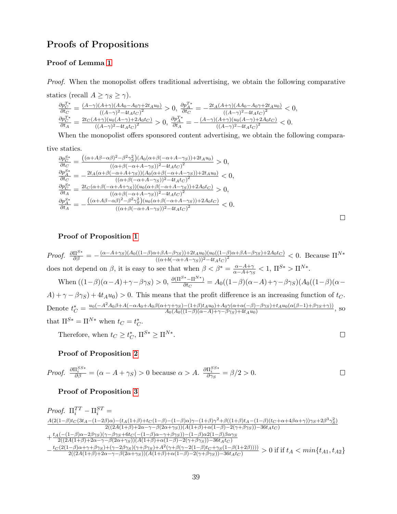## Proofs of Propositions

### Proof of Lemma [1](#page-17-0)

Proof. When the monopolist offers traditional advertising, we obtain the following comparative

statics (recall  $A \geq \gamma_S \geq \gamma$ ).  $\frac{\partial p_C^{T*}}{\partial t_C} = \frac{(A-\gamma)(A+\gamma)(AA_0-A_0\gamma+2t_Au_0)}{((A-\gamma)^2-4t_At_C)^2}$  $\frac{(A+\gamma)(AA_0-A_0\gamma+2t_Au_0)}{((A-\gamma)^2-4t_At_C)^2} > 0$ ,  $\frac{\partial p_A^{T*}}{\partial t_C} = -\frac{2t_A(A+\gamma)(AA_0-A_0\gamma+2t_Au_0)}{((A-\gamma)^2-4t_At_C)^2}$  $\frac{(\pi+\gamma)(AA_0-A_0\gamma+2t_Au_0)}{((A-\gamma)^2-4t_At_C)^2}<0,$  $\frac{\partial p_C^{T*}}{\partial t_A} = \frac{2t_C (A+\gamma)(u_0(A-\gamma)+2A_0t_C)}{(A-\gamma)^2-4t_A t_C)^2}$  $\frac{(A+\gamma)(u_0(A-\gamma)+2A_0t_C)}{((A-\gamma)^2-4t_At_C)^2} > 0$ ,  $\frac{\partial p_A^{T*}}{\partial t_A} = -\frac{(A-\gamma)(A+\gamma)(u_0(A-\gamma)+2A_0t_C)}{((A-\gamma)^2-4t_At_C)^2}$  $\frac{(A+\gamma)(u_0(A-\gamma)+2A_0t_C)}{((A-\gamma)^2-4t_At_C)^2}<0.$ 

When the monopolist offers sponsored content advertising, we obtain the following compara-

tive statics.

$$
\frac{\partial p_{C}^{S*}}{\partial t_{C}} = \frac{((\alpha + A\beta - \alpha\beta)^2 - \beta^2 \gamma_5^2)(A_0(\alpha + \beta(-\alpha + A - \gamma_S)) + 2t_A u_0)}{((\alpha + \beta(-\alpha + A - \gamma_S))^2 - 4t_A t_C)^2} > 0,
$$
  
\n
$$
\frac{\partial p_A^{S*}}{\partial t_{C}} = -\frac{2t_A(\alpha + \beta(-\alpha + A + \gamma_S))(A_0(\alpha + \beta(-\alpha + A - \gamma_S)) + 2t_A u_0)}{((\alpha + \beta(-\alpha + A - \gamma_S))^2 - 4t_A t_C)^2} < 0,
$$
  
\n
$$
\frac{\partial p_C^{S*}}{\partial t_A} = \frac{2t_C(\alpha + \beta(-\alpha + A + \gamma_S))(u_0(\alpha + \beta(-\alpha + A - \gamma_S)) + 2A_0 t_C)}{((\alpha + \beta(-\alpha + A - \gamma_S))^2 - 4t_A t_C)^2} > 0,
$$
  
\n
$$
\frac{\partial p_A^{S*}}{\partial t_A} = -\frac{((\alpha + A\beta - \alpha\beta)^2 - \beta^2 \gamma_S^2)(u_0(\alpha + \beta(-\alpha + A - \gamma_S)) + 2A_0 t_C)}{((\alpha + \beta(-\alpha + A - \gamma_S))^2 - 4t_A t_C)^2} < 0.
$$

 $\Box$ 

 $\Box$ 

### Proof of Proposition [1](#page-18-1)

*Proof.* 
$$
\frac{\partial \Pi^{S*}}{\partial \beta} = -\frac{(\alpha - A + \gamma_S)(A_0((1-\beta)\alpha + \beta A - \beta \gamma_S)) + 2t_A u_0)(u_0((1-\beta)\alpha + \beta A - \beta \gamma_S) + 2A_0 t_C)}{((\alpha + b(-\alpha + A - \gamma_S))^2 - 4t_A t_C)^2} < 0
$$
. Because  $\Pi^{N*}$  does not depend on  $\beta$ , it is easy to see that when  $\beta < \beta^* = \frac{\alpha - A + \gamma}{\alpha - A + \gamma_S} < 1$ ,  $\Pi^{S*} > \Pi^{N*}$ .

When 
$$
((1-\beta)(\alpha-A)+\gamma-\beta\gamma_S) > 0
$$
,  $\frac{\partial(\Pi^{S*}-\Pi^{N*})}{\partial t_C} = A_0((1-\beta)(\alpha-A)+\gamma-\beta\gamma_S)(A_0((1-\beta)(\alpha-A)+\gamma-\beta\gamma_S))$ 

 $A) + \gamma - \beta \gamma_S + 4t_A u_0 > 0$ . This means that the profit difference is an increasing function of  $t_C$ . Denote  $t_C^* = \frac{u_0(-A^2A_0\beta + A(-\alpha A_0 + A_0\beta(\alpha + \gamma + \gamma_S) - (1+\beta)t_Au_0) + A_0\gamma(\alpha + \alpha(-\beta) - \beta\gamma_S) + t_Au_0(\alpha(\beta-1) + \beta\gamma_S + \gamma))}{A_0(A_0((1-\beta)(\alpha - A) + \gamma - \beta\gamma_S) + 4t_Au_0)}$  $A_0(A_0((1-\beta)(\alpha-A)+\gamma-\beta\gamma_S)+4t_Au_0)$ <br>  $A_0(A_0((1-\beta)(\alpha-A)+\gamma-\beta\gamma_S)+4t_Au_0)$ 

that  $\Pi^{S*} = \Pi^{N*}$  when  $t_C = t_C^*$ .

Therefore, when  $t_C \geq t_C^*$ ,  $\Pi^{S*} \geq \Pi^{N*}$ .

### Proof of Proposition [2](#page-23-0)

*Proof.* 
$$
\frac{\partial \Pi_i^{SS*}}{\partial \beta} = (\alpha - A + \gamma_S) > 0
$$
 because  $\alpha > A$ .  $\frac{\partial \Pi_i^{SS*}}{\partial \gamma_S} = \beta/2 > 0$ .

#### Proof of Proposition [3](#page-24-1)

$$
\begin{array}{l} \label{eq:2.1} \textit{Proof.}\;\; \Pi_{i}^{TT}-\Pi_{i}^{ST}=\qquad \\ \frac{A(2(1-\beta)t_C(3t_A-(1-2\beta)\alpha)-(t_A(1+\beta)+t_C(1-\beta)-(1-\beta)\alpha)\gamma-(1+\beta)\gamma^2+\beta((1+\beta)t_A-(1-\beta)(t_C+\alpha+4\beta\alpha+\gamma))\gamma_S+2\beta^3\gamma_S^2)}{2((2A(1+\beta)+2\alpha-\gamma-\beta(2\alpha+\gamma_S))(A(1+\beta)+\alpha(1-\beta)-2(\gamma+\beta\gamma_S))-36t_A t_C)}\\ +\frac{t_A(-(1-\beta)\alpha-2\beta\gamma_S)(\gamma-\beta\gamma_S+6t_C(-(1-\beta)\alpha-\gamma+\beta\gamma_S))-(1-\beta)\alpha^2(1-\beta)\beta\alpha\gamma_S}{2((2A(1+\beta)+2\alpha-\gamma-\beta(2\alpha+\gamma_S))(A(1+\beta)+\alpha(1-\beta)-2(\gamma+\beta\gamma_S))-36t_A t_C)}\\ -\frac{t_C(2(1-\beta)\alpha+\gamma+\beta\gamma_S)+(\gamma-2\beta\gamma_S)(\gamma+\beta\gamma_S)+A^2(\gamma+\beta(\gamma-2(1-\beta)t_C+\gamma_S(1-\beta(1+2\beta))))}{2((2A(1+\beta)+2\alpha-\gamma-\beta(2\alpha+\gamma_S))(A(1+\beta)+\alpha(1-\beta)-2(\gamma+\beta\gamma_S))-36t_A t_C)} >0 \; \text{if if}\; t_A < min\{t_{A1},t_{A2}\}\\ \end{array}
$$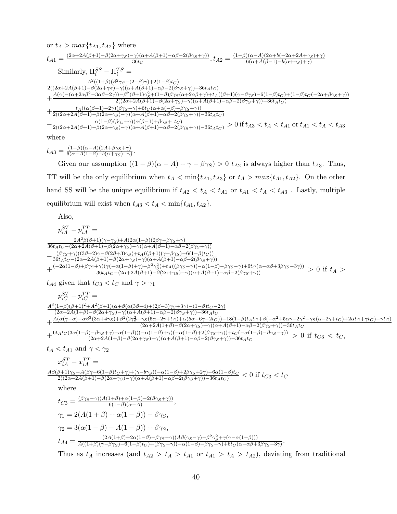$$
\begin{split} &\text{or}\ t_A > max\{t_{A1},t_{A2}\}\ \text{where}\\ &\ t_{A1} = \tfrac{(2\alpha+2A(\beta+1)-\beta(2\alpha+\gamma_S)-\gamma)(\alpha+A(\beta+1)-\alpha\beta-2(\beta\gamma_S+\gamma))}{36t_C},\\ &\text{Similarly,}\ \Pi_i^{SS}-\Pi_i^{TS} = \\ &\frac{A^2((1+\beta)(\beta^2\gamma_S-(2-\beta)\gamma)+2(1-\beta)t_C)}{2((2\alpha+2A(\beta+1)-\beta(2\alpha+\gamma_S)-\gamma)(\alpha+A(\beta+1)-\alpha\beta-2(\beta\gamma_S+\gamma))-36t_A t_C)}\\ &\text{+}\tfrac{A(\gamma(-( \alpha+2\alpha\beta^2-3\alpha\beta-2\gamma))-\beta^2(\beta+1)\gamma_S^2+(1-\beta)\beta\gamma_S(\alpha+2\alpha\beta+\gamma)+t_A((\beta+1)(\gamma-\beta\gamma_S)-6(1-\beta)t_C)+(1-\beta)t_C(-2\alpha+\beta\gamma_S+\gamma))}{2((2\alpha+2A(\beta+1)-\beta(2\alpha+\gamma_S)-\gamma)(\alpha+A(\beta+1)-\alpha\beta-2(\beta\gamma_S+\gamma))-36t_A t_C)}\\ &+\tfrac{t_A((\alpha(\beta-1)-2\gamma)(\beta\gamma_S-\gamma)+6t_C(\alpha+\alpha(-\beta)-\beta\gamma_S+\gamma))}{2((2\alpha+2A(\beta+1)-\beta(2\alpha+\gamma_S)-\gamma)(\alpha+A(\beta+1)-\alpha\beta-2(\beta\gamma_S+\gamma))-36t_A t_C)}\\ &-\tfrac{t_A((\alpha(\beta-1)-2\gamma)(\beta\gamma_S-\gamma)+6t_C(\alpha+\alpha(-\beta)-\beta\gamma_S+\gamma))}{2((2\alpha+2A(\beta+1)-\beta(2\alpha+\gamma_S)-\gamma)(\alpha+A(\beta+1)-\alpha\beta-2(\beta\gamma_S+\gamma))-36t_A t_C)} >0\ \text{if}\ t_{A3} < t_A < t_{A1}\ \text{or}\ t_{A1} < t_A < t_{A3}\ \end{split}
$$

where

 $t_{A3} = \frac{(1-\beta)(\alpha-A)(2A+\beta\gamma_S+\gamma)}{6(\alpha-A(1-\beta)-b(\alpha+\gamma_S)+\gamma)}$  $\frac{(1-\beta)(\alpha-A)(2A+\beta\gamma_S+\gamma)}{6(\alpha-A(1-\beta)-b(\alpha+\gamma_S)+\gamma)}$ 

Given our assumption  $((1 - \beta)(\alpha - A) + \gamma - \beta \gamma_s) > 0$   $t_{A2}$  is always higher than  $t_{A3}$ . Thus, TT will be the only equilibrium when  $t_A < \min\{t_{A1}, t_{A3}\}$  or  $t_A > max\{t_{A1}, t_{A2}\}$ . On the other hand SS will be the unique equilibrium if  $t_{A2} < t_A < t_{A1}$  or  $t_{A1} < t_A < t_{A3}$ . Lastly, multiple equilibrium will exist when  $t_{A3} < t_A < \min\{t_{A1}, t_{A2}\}.$ 

Also,

 $p_{iA}^{ST} - p_{iA}^{TT} =$  $2A^2\beta(\beta+1)(\gamma-\gamma_S)+A(2\alpha(1-\beta)(2\beta\gamma-\beta\gamma_S+\gamma))$  $36t_At_C-(2\alpha+2A(\beta+1)-\beta(2\alpha+\gamma_S)-\gamma)(\alpha+A(\beta+1)-\alpha\beta-2(\beta\gamma_S+\gamma))$  $-\frac{(\beta\gamma_S+\gamma)((3\beta+2)\gamma-\beta(2\beta+3)\gamma_S)+t_A((\beta+1)(\gamma-\beta\gamma_S)-6(1-\beta)t_C))}{36t+t_{\alpha-1}(2\alpha+2A(\beta+1)-\beta(2\alpha+\gamma_C)-\gamma)(\alpha+A(\beta+1)-\alpha\beta-2(\beta\gamma_C+\gamma_C))}$  $\frac{36t_A t_C - (2\alpha + 2A(\beta + 1) - \beta(2\alpha + \gamma_S) - \gamma)(\alpha + A(\beta + 1) - \alpha\beta - 2(\beta\gamma_S + \gamma))}{2}$  $+\frac{(-2\alpha(1-\beta)+\beta\gamma_S+\gamma)(\gamma(-\alpha(1-\beta)+\gamma)-\beta^2\gamma_S^2)+t_A((\beta\gamma_S-\gamma)(-\alpha(1-\beta)-\beta\gamma_S-\gamma)+6t_C(\alpha-\alpha\beta+3\beta\gamma_S-3\gamma))}{36t_A t_C-(2\alpha+2A(\beta+1)-\beta(2\alpha+\gamma_S)-\gamma)(\alpha+A(\beta+1)-\alpha\beta-2(\beta\gamma_S+\gamma))}>0$  if  $t_A >$  $t_{A4}$  given that  $t_{C3} < t_C$  and  $\gamma > \gamma_1$  $p_{iC}^{ST} - p_{iC}^{TT} =$  $A^3(1-\beta)(\beta+1)^2+A^2(\beta+1)(\alpha+\beta(\alpha(3\beta-4)+(2\beta-3)\gamma_S+3\gamma)-(1-\beta)t_C-2\gamma)$  $(2\alpha+2A(1+\beta)-\beta(2\alpha+\gamma_S)-\gamma)(\alpha+A(\beta+1)-\alpha\beta-2(\beta\gamma_S+\gamma))-36t_At_C$  $+\frac{A(\alpha(\gamma-\alpha)-\alpha\beta^3(3\alpha+4\gamma_S)+\beta^2(2\gamma_S^2+\gamma_S(5\alpha-2\gamma+t_C)+\alpha(5\alpha-6\gamma-2t_C))-18(1-\beta)t_At_C+\beta(-\alpha^2+5\alpha\gamma-2\gamma^2-\gamma_S(\alpha-2\gamma+t_C)+2\alpha t_C+\gamma t_C)-\gamma t_C)}{(2\alpha+2A(1+A)-A(2\alpha+\gamma_S)-\gamma)(\alpha+A(A+1)-\alpha^2-2(A\alpha+\gamma))-36t_At_C}$  $(2\alpha+2A(1+\beta)-\beta(2\alpha+\gamma_S)-\gamma)(\alpha+A(\beta+1)-\alpha\beta-2(\beta\gamma_S+\gamma))-36t_At_C$  $+\frac{6t_At_C(3\alpha(1-\beta)-\beta\gamma_S+\gamma)-\alpha(1-\beta)((-\alpha(1-\beta)+\gamma)(-\alpha(1-\beta)+2(\beta\gamma_S+\gamma)) +t_C(-\alpha(1-\beta)-\beta\gamma_S-\gamma))}{(2\alpha+2A(1+\beta)-\beta(2\alpha+\gamma_C)-\alpha)(\alpha+A(\beta+1)-\alpha\beta-2(\beta\gamma_S+\gamma)) -36t_A}$  $\frac{(\partial P)S + \gamma - \alpha(1-\beta)(\alpha(1-\beta) + \gamma)(-\alpha(1-\beta) + 2(\beta\gamma_S + \gamma)) + t_C(-\alpha(1-\beta) - \beta\gamma_S - \gamma))}{(2\alpha + 2A(1+\beta) - \beta(2\alpha + \gamma_S) - \gamma)(\alpha + A(\beta+1) - \alpha\beta - 2(\beta\gamma_S + \gamma)) - 36t_A t_C} > 0$  if  $t_{C3} < t_C$ ,  $t_A < t_{A1}$  and  $\gamma < \gamma_2$  $x_{iA}^{ST} - x_{iA}^{TT} =$  $\frac{A\beta(\beta+1)\gamma_S-A(\beta\gamma-6(1-\beta)t_C+\gamma)+(\gamma-b\gamma_S)(-\alpha(1-\beta)+2\beta\gamma_S+2\gamma)-6\alpha(1-\beta)t_C}{2((2\alpha+2A(\beta+1)-\beta(2\alpha+\gamma_S)-\gamma)(\alpha+A(\beta+1)-\alpha\beta-2(\beta\gamma_S+\gamma))-36t_A t_C)} < 0$  if  $t_{C3} < t_C$ where  $t_{C3} = \frac{(\beta \gamma_S - \gamma)(A(1+\beta) + \alpha(1-\beta) - 2(\beta \gamma_S + \gamma))}{6(1-\beta)(\alpha - A)}$  $\frac{(1+\beta)+\alpha(1-\beta)-2(\beta\gamma_S+\gamma))}{6(1-\beta)(\alpha-A)},$  $\gamma_1 = 2(A(1+\beta) + \alpha(1-\beta)) - \beta \gamma_S,$  $\gamma_2 = 3(\alpha(1-\beta) - A(1-\beta)) + \beta \gamma_S,$  $t_{A4} = \frac{(2A(1+\beta)+2\alpha(1-\beta)-\beta\gamma_{S}-\gamma)(A\beta(\gamma_{S}-\gamma)-\beta^{2}\gamma_{S}^{2}+\gamma(\gamma-\alpha(1-\beta)))}{A((1+\beta)(\gamma-\beta\gamma_{S})-6(1-\beta)t_{C})+( \beta\gamma_{S}-\gamma)(-\alpha(1-\beta)-\beta\gamma_{S}-\gamma)+6tc(\alpha-\alpha\beta+ \gamma)}$  $\frac{(2A(1+\beta)+2\alpha(1-\beta)-p\gamma_S-\gamma)(A\rho(\gamma_S-\gamma)-\rho\gamma_S+\gamma(\gamma-\alpha(1-\beta)))}{A((1+\beta)(\gamma-\beta\gamma_S)-6(1-\beta)t_C)+(\beta\gamma_S-\gamma)(-\alpha(1-\beta)-\beta\gamma_S-\gamma)+6t_C(\alpha-\alpha\beta+3\beta\gamma_S-3\gamma)}.$ Thus as  $t_A$  increases (and  $t_{A2} > t_A > t_{A1}$  or  $t_{A1} > t_A > t_{A2}$ ), deviating from traditional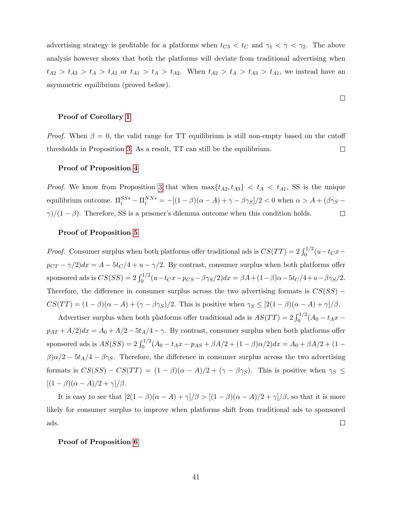advertising strategy is profitable for a platforms when  $t_{C3} < t_C$  and  $\gamma_1 < \gamma < \gamma_2$ . The above analysis however shows that both the platforms will deviate from traditional advertising when  $t_{A2} > t_{A3} > t_A > t_{A1}$  or  $t_{A1} > t_A > t_{A2}$ . When  $t_{A2} > t_A > t_{A3} > t_{A1}$ , we instead have an asymmetric equilibrium (proved below).

#### Proof of Corollary [1](#page-26-1)

*Proof.* When  $\beta = 0$ , the valid range for TT equilibrium is still non-empty based on the cutoff thresholds in Proposition [3.](#page-24-1) As a result, TT can still be the equilibrium.  $\Box$ 

#### Proof of Proposition [4](#page-26-0)

*Proof.* We know from Proposition [3](#page-24-1) that when  $\max\{t_{A2}, t_{A3}\} < t_A < t_{A1}$ , SS is the unique equilibrium outcome.  $\Pi_i^{SS*} - \Pi_i^{NN*} = -[(1-\beta)(\alpha - A) + \gamma - \beta \gamma_S]/2 < 0$  when  $\alpha > A + (\beta \gamma_S - A)$  $\gamma$ /(1 –  $\beta$ ). Therefore, SS is a prisoner's dilemma outcome when this condition holds.  $\Box$ 

#### Proof of Proposition [5](#page-27-0)

*Proof.* Consumer surplus when both platforms offer traditional ads is  $CS(TT) = 2 \int_0^{1/2} (u - t_C x$  $p_{CT} - \gamma/2)dx = A - 5t_C/4 + u - \gamma/2$ . By contrast, consumer surplus when both platforms offer sponsored ads is  $CS(SS) = 2 \int_0^{1/2} (u - t_Cx - p_{CS} - \beta \gamma_S/2) dx = \beta A + (1 - \beta)\alpha - 5t_C/4 + u - \beta \gamma_S/2.$ Therefore, the difference in consumer surplus across the two advertising formats is  $CS(SS)$  −  $CS(TT) = (1 - \beta)(\alpha - A) + (\gamma - \beta \gamma_S)/2$ . This is positive when  $\gamma_S \leq [2(1 - \beta)(\alpha - A) + \gamma]/\beta$ .

Advertiser surplus when both platforms offer traditional ads is  $AS(TT) = 2 \int_0^{1/2} (A_0 - t_A x$  $p_{AT} + A/2$ ) $dx = A_0 + A/2 - 5t_A/4 - \gamma$ . By contrast, consumer surplus when both platforms offer sponsored ads is  $AS(SS) = 2 \int_0^{1/2} (A_0 - t_A x - p_{AS} + \beta A/2 + (1 - \beta)\alpha/2) dx = A_0 + \beta A/2 + (1 \beta$ ) $\alpha/2 - 5t_A/4 - \beta\gamma_S$ . Therefore, the difference in consumer surplus across the two advertising formats is  $CS(SS) - CS(TT) = (1 - \beta)(\alpha - A)/2 + (\gamma - \beta \gamma_S)$ . This is positive when  $\gamma_S \leq$  $[(1 - \beta)(\alpha - A)/2 + \gamma]/\beta.$ 

It is easy to see that  $[2(1 - \beta)(\alpha - A) + \gamma]/\beta > [(1 - \beta)(\alpha - A)/2 + \gamma]/\beta$ , so that it is more likely for consumer surplus to improve when platforms shift from traditional ads to sponsored ads.  $\Box$ 

#### Proof of Proposition [6](#page-29-1)

 $\Box$